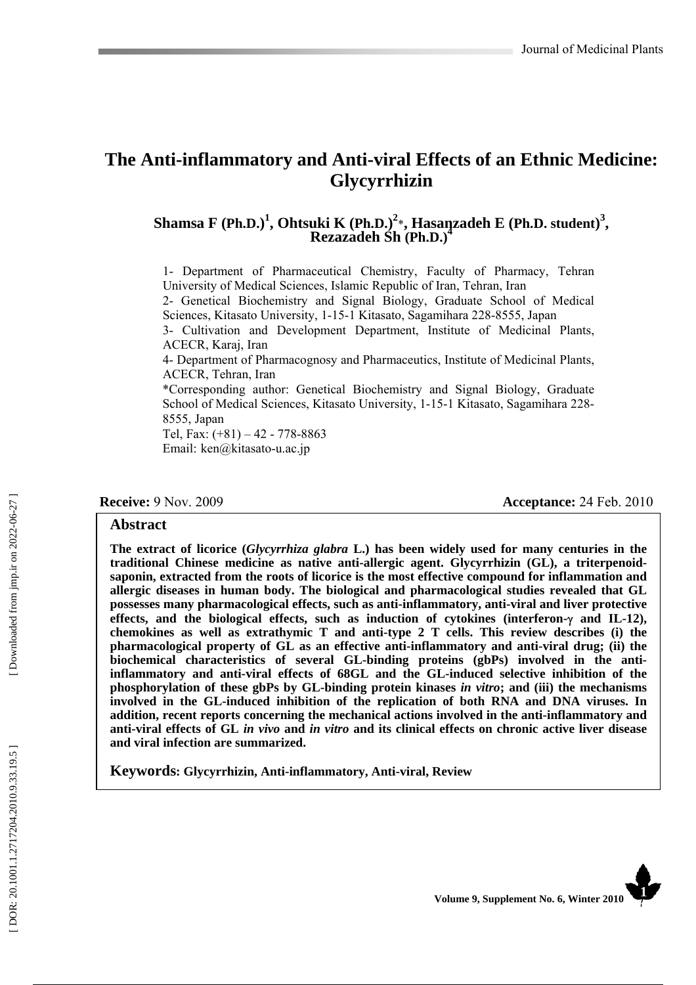# **The Anti-inflammatory and Anti-viral Effects of an Ethnic Medicine: Glycyrrhizin**

# Shamsa F (Ph.D.)<sup>1</sup>, Ohtsuki K (Ph.D.)<sup>2</sup>\*, Hasanzadeh E (Ph.D. student)<sup>3</sup>,<br>Rezazadeh Sh (Ph.D.)<sup>4</sup>

1- Department of Pharmaceutical Chemistry, Faculty of Pharmacy, Tehran University of Medical Sciences, Islamic Republic of Iran, Tehran, Iran 2- Genetical Biochemistry and Signal Biology, Graduate School of Medical Sciences, Kitasato University, 1-15-1 Kitasato, Sagamihara 228-8555, Japan 3- Cultivation and Development Department, Institute of Medicinal Plants, ACECR, Karaj, Iran 4- Department of Pharmacognosy and Pharmaceutics, Institute of Medicinal Plants,

ACECR, Tehran, Iran

\*Corresponding author: Genetical Biochemistry and Signal Biology, Graduate School of Medical Sciences, Kitasato University, 1-15-1 Kitasato, Sagamihara 228- 8555, Japan

Tel, Fax: (+81) – 42 - 778-8863 Email: ken@kitasato-u.ac.jp

**Receive:** 9 Nov. 2009 **Acceptance: 24 Feb. 2010** 

#### **Abstract**

**The extract of licorice (***Glycyrrhiza glabra* **L.) has been widely used for many centuries in the traditional Chinese medicine as native anti-allergic agent. Glycyrrhizin (GL), a triterpenoidsaponin, extracted from the roots of licorice is the most effective compound for inflammation and allergic diseases in human body. The biological and pharmacological studies revealed that GL possesses many pharmacological effects, such as anti-inflammatory, anti-viral and liver protective effects, and the biological effects, such as induction of cytokines (interferon-**γ **and IL-12), chemokines as well as extrathymic T and anti-type 2 T cells. This review describes (i) the pharmacological property of GL as an effective anti-inflammatory and anti-viral drug; (ii) the biochemical characteristics of several GL-binding proteins (gbPs) involved in the antiinflammatory and anti-viral effects of 68GL and the GL-induced selective inhibition of the phosphorylation of these gbPs by GL-binding protein kinases** *in vitro***; and (iii) the mechanisms involved in the GL-induced inhibition of the replication of both RNA and DNA viruses. In addition, recent reports concerning the mechanical actions involved in the anti-inflammatory and anti-viral effects of GL** *in vivo* **and** *in vitro* **and its clinical effects on chronic active liver disease and viral infection are summarized.** 

**Keywords: Glycyrrhizin, Anti-inflammatory, Anti-viral, Review**

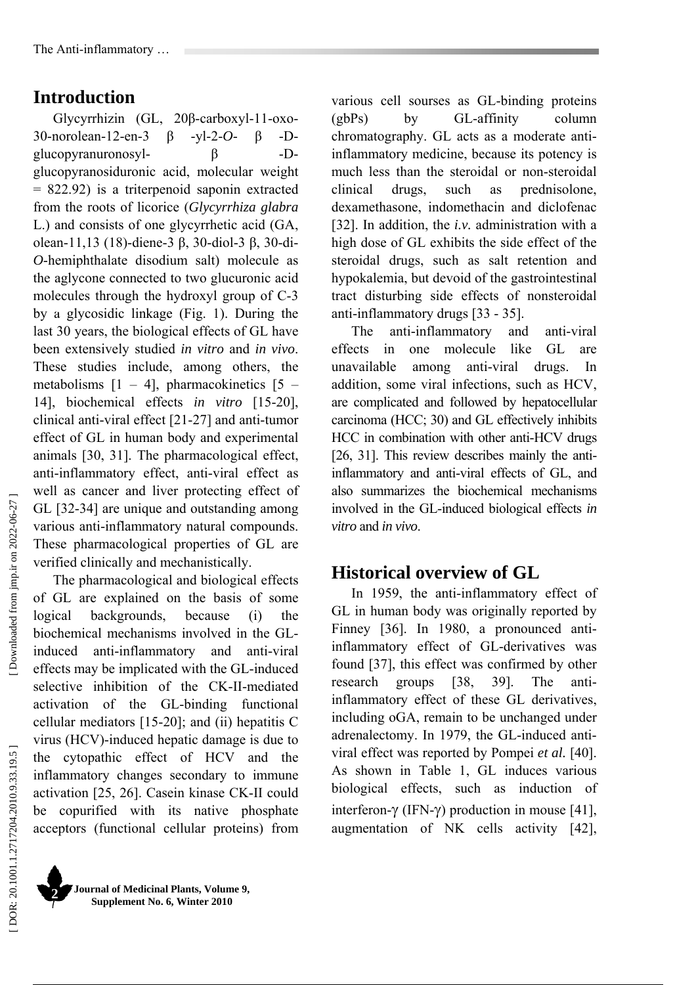# **Introduction**

Glycyrrhizin (GL, 20 β-carboxyl-11-oxo-30-norolean-12-en-3 β -yl-2-*O*- β -Dglucopyranuronosyl- β -Dglucopyranosiduronic acid, molecular weight = 822.92) is a triterpenoid saponin extracted from the roots of licorice (*Glycyrrhiza glabra* L.) and consists of one glycyrrhetic acid (GA, olean-11,13 (18)-diene-3 β, 30-diol-3 β, 30-di-*O*-hemiphthalate disodium salt) molecule as the aglycone connected to two glucuronic acid molecules through the hydroxyl group of C-3 by a glycosidic linkage (Fig. 1). During the **58**  last 30 years, the biological effects of GL have been extensively studied *in vitro* and *in vivo*. These studies include, among others, the metabolisms  $[1 - 4]$ , pharmacokinetics  $[5 -$ 14], biochemical effects *in vitro* [15-20], clinical anti-viral effect [21-27] and anti-tumor effect of GL in human body and experimental animals [30, 31]. The pharmacological effect, anti-inflammatory effect, anti-viral effect as well as cancer and liver protecting effect of GL [32-34] are unique and outstanding among various anti-inflammatory natural compounds. These pharmacological properties of GL are verified clinically and mechanistically.

The pharmacological and biological effects of GL are explained on the basis of some logical backgrounds, because (i) the biochemical mechanisms involved in the GLinduced anti-inflammatory and anti-viral effects may be implicated with the GL-induced selective inhibition of the CK-II-mediated activation of the GL-binding functional cellular mediators [15-20]; and (ii) hepatitis C virus (HCV)-induced hepatic damage is due to the cytopathic effect of HCV and the inflammatory changes secondary to immune activation [25, 26]. Casein kinase CK-II could be copurified with its native phosphate acceptors (functional cellular proteins) from various cell sourses as GL-binding proteins (gbPs) by GL-affinity column chromatography. GL acts as a moderate antiinflammatory medicine, because its potency is much less than the steroidal or non-steroidal clinical drugs, such as prednisolone, dexamethasone, indomethacin and diclofenac [32]. In addition, the *i.v.* administration with a high dose of GL exhibits the side effect of the steroidal drugs, such as salt retention and hypokalemia, but devoid of the gastrointestinal tract disturbing side effects of nonsteroidal anti-inflammatory drugs [33 - 35].

The anti-inflammatory and anti-viral effects in one molecule like GL are unavailable among anti-viral drugs. In addition, some viral infections, such as HCV, are complicated and followed by hepatocellular carcinoma (HCC; 30) and GL effectively inhibits HCC in combination with other anti-HCV drugs [26, 31]. This review describes mainly the antiinflammatory and anti-viral effects of GL, and also summarizes the biochemical mechanisms involved in the GL-induced biological effects *in vitro* and *in vivo*.

# **Historical overview of GL**

In 1959, the anti-inflammatory effect of GL in human body was originally reported by Finney [36]. In 1980, a pronounced antiinflammatory effect of GL-derivatives was found [37], this effect was confirmed by other research groups [38, 39]. The antiinflammatory effect of these GL derivatives, including oGA, remain to be unchanged under adrenalectomy. In 1979, the GL-induced antiviral effect was reported by Pompei *et al.* [40]. As shown in Table 1, GL induces various biological effects, such as induction of interferon-γ (IFN-γ) production in mouse [41], augmentation of NK cells activity [42],

Downloaded from jmp.ir on 2022-06-27 ]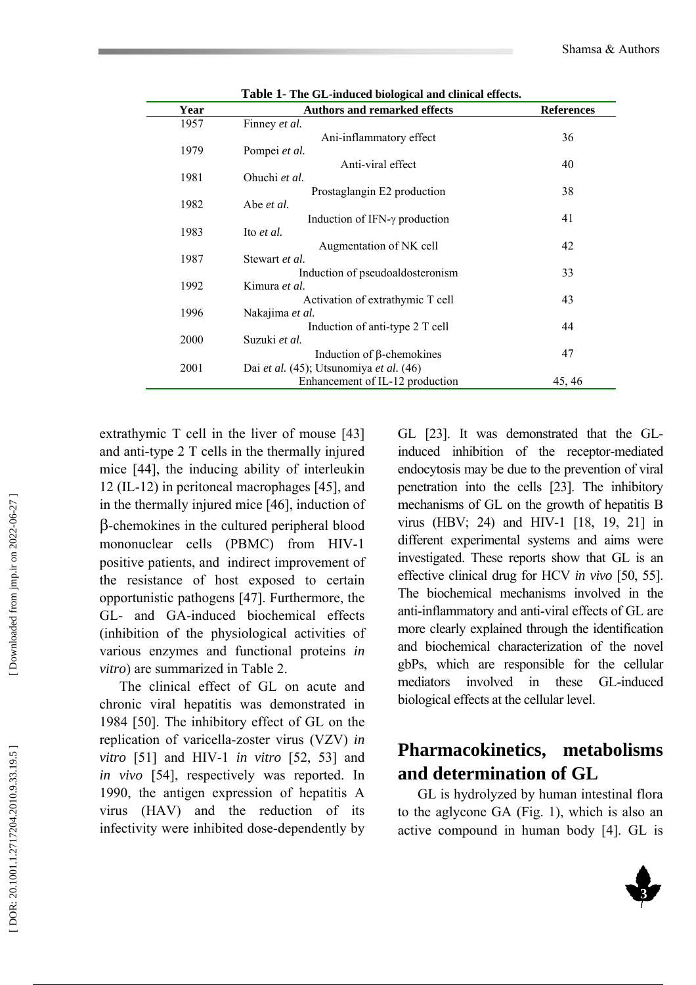| Year | <b>Authors and remarked effects</b>       | <b>References</b> |
|------|-------------------------------------------|-------------------|
| 1957 | Finney <i>et al.</i>                      |                   |
|      | Ani-inflammatory effect                   | 36                |
| 1979 | Pompei et al.                             |                   |
|      | Anti-viral effect                         | 40                |
| 1981 | Ohuchi et al.                             |                   |
|      | Prostaglangin E2 production               | 38                |
| 1982 | Abe et al.                                |                   |
|      | Induction of IFN- $\gamma$ production     | 41                |
| 1983 | Ito <i>et al.</i>                         |                   |
| 1987 | Augmentation of NK cell<br>Stewart et al. | 42                |
|      | Induction of pseudoaldosteronism          | 33                |
| 1992 | Kimura et al.                             |                   |
|      | Activation of extrathymic T cell          | 43                |
| 1996 | Nakajima et al.                           |                   |
|      | Induction of anti-type 2 T cell           | 44                |
| 2000 | Suzuki et al.                             |                   |
|      | Induction of $\beta$ -chemokines          | 47                |
| 2001 | Dai et al. (45); Utsunomiya et al. (46)   |                   |
|      | Enhancement of IL-12 production           | 45, 46            |

**Table 1- The GL-induced biological and clinical effects.** 

extrathymic T cell in the liver of mouse [43] and anti-type 2 T cells in the thermally injured mice [44], the inducing ability of interleukin 12 (IL-12) in peritoneal macrophages [45], and in the thermally injured mice [46], induction of β-chemokines in the cultured peripheral blood mononuclear cells (PBMC) from HIV-1 positive patients, and indirect improvement of the resistance of host exposed to certain opportunistic pathogens [47]. Furthermore, the GL- and GA-induced biochemical effects (inhibition of the physiological activities of various enzymes and functional proteins *in vitro*) are summarized in Table 2.

The clinical effect of GL on acute and chronic viral hepatitis was demonstrated in 1984 [50]. The inhibitory effect of GL on the replication of varicella-zoster virus (VZV) *in vitro* [51] and HIV-1 *in vitro* [52, 53] and *in vivo* [54], respectively was reported. In 1990, the antigen expression of hepatitis A virus (HAV) and the reduction of its infectivity were inhibited dose-dependently by

GL [23]. It was demonstrated that the GLinduced inhibition of the receptor-mediated endocytosis may be due to the prevention of viral penetration into the cells [23]. The inhibitory mechanisms of GL on the growth of hepatitis B virus (HBV; 24) and HIV-1 [18, 19, 21] in different experimental systems and aims were investigated. These reports show that GL is an effective clinical drug for HCV *in vivo* [50, 55]. The biochemical mechanisms involved in the anti-inflammatory and anti-viral effects of GL are more clearly explained through the identification and biochemical characterization of the novel gbPs, which are responsible for the cellular mediators involved in these GL-induced biological effects at the cellular level.

# **Pharmacokinetics, metabolisms and determination of GL**

GL is hydrolyzed by human intestinal flora to the aglycone GA (Fig. 1), which is also an active compound in human body [4]. GL is

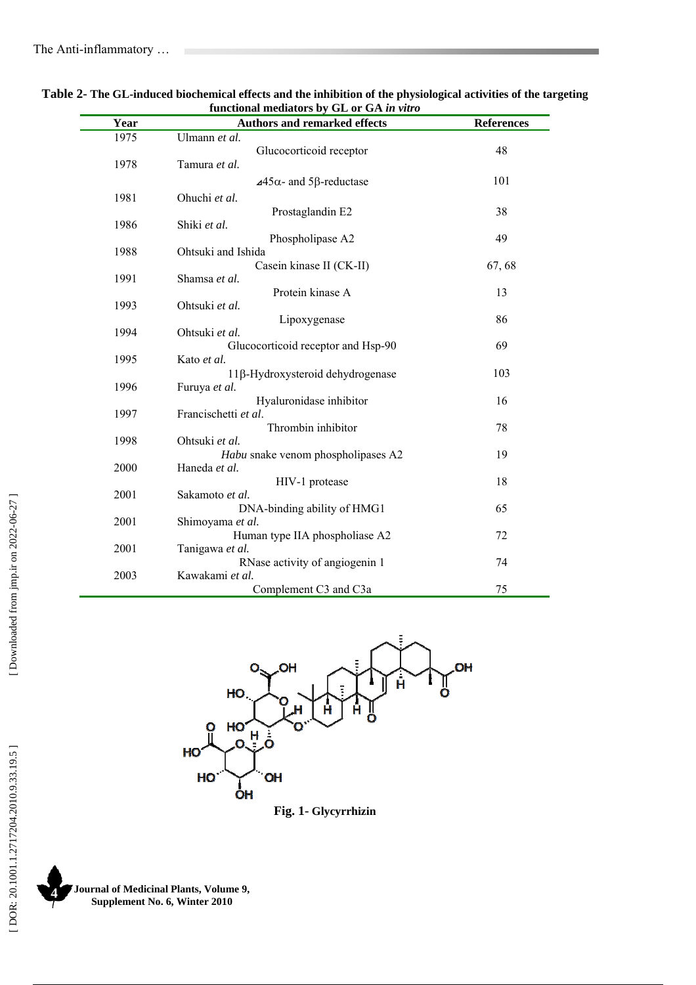| <b>TUNCUONAL MEGIALOTS DY GL OF GA <i>in vuro</i></b> |                                                    |                   |  |  |
|-------------------------------------------------------|----------------------------------------------------|-------------------|--|--|
| Year                                                  | <b>Authors and remarked effects</b>                | <b>References</b> |  |  |
| 1975                                                  | Ulmann et al.                                      |                   |  |  |
|                                                       | Glucocorticoid receptor                            | 48                |  |  |
| 1978                                                  | Tamura et al.                                      |                   |  |  |
|                                                       | $\triangle$ 45 $\alpha$ - and 5 $\beta$ -reductase | 101               |  |  |
| 1981                                                  | Ohuchi et al.                                      |                   |  |  |
|                                                       | Prostaglandin E2                                   | 38                |  |  |
| 1986                                                  | Shiki et al.                                       |                   |  |  |
|                                                       | Phospholipase A2                                   | 49                |  |  |
| 1988                                                  | Ohtsuki and Ishida                                 |                   |  |  |
|                                                       | Casein kinase II (CK-II)                           | 67,68             |  |  |
| 1991                                                  | Shamsa et al.                                      |                   |  |  |
|                                                       | Protein kinase A                                   | 13                |  |  |
| 1993                                                  | Ohtsuki et al.                                     |                   |  |  |
|                                                       | Lipoxygenase                                       | 86                |  |  |
| 1994                                                  | Ohtsuki et al.                                     |                   |  |  |
|                                                       | Glucocorticoid receptor and Hsp-90                 | 69                |  |  |
| 1995                                                  | Kato et al.                                        |                   |  |  |
|                                                       | 11β-Hydroxysteroid dehydrogenase                   | 103               |  |  |
| 1996                                                  | Furuya et al.                                      |                   |  |  |
|                                                       | Hyaluronidase inhibitor                            | 16                |  |  |
| 1997                                                  | Francischetti et al.                               |                   |  |  |
|                                                       | Thrombin inhibitor                                 | 78                |  |  |
| 1998                                                  | Ohtsuki et al.                                     |                   |  |  |
|                                                       | Habu snake venom phospholipases A2                 | 19                |  |  |
| 2000                                                  | Haneda et al.                                      |                   |  |  |
|                                                       | HIV-1 protease                                     | 18                |  |  |
| 2001                                                  | Sakamoto et al.                                    |                   |  |  |
|                                                       | DNA-binding ability of HMG1                        | 65                |  |  |
| 2001                                                  | Shimoyama et al.                                   |                   |  |  |
|                                                       | Human type IIA phospholiase A2                     | 72                |  |  |
| 2001                                                  | Tanigawa et al.                                    |                   |  |  |
|                                                       | RNase activity of angiogenin 1                     | 74                |  |  |
| 2003                                                  | Kawakami et al.                                    |                   |  |  |
|                                                       | Complement C3 and C3a                              | 75                |  |  |

**Table 2- The GL-induced biochemical effects and the inhibition of the physiological activities of the targeting**  functional mediators by CL or CA *in* 



**Fig. 1- Glycyrrhizin** 

**Journal of Medicinal Plants, Volume 9, Supplement No. 6, Winter 2010 4**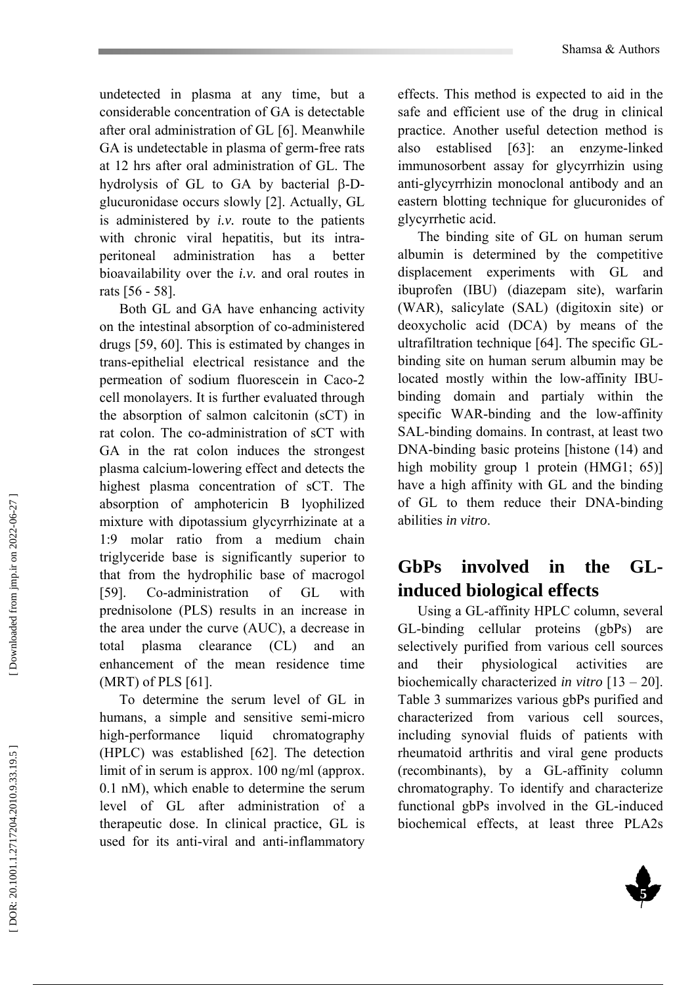undetected in plasma at any time, but a considerable concentration of GA is detectable after oral administration of GL [6]. Meanwhile GA is undetectable in plasma of germ-free rats at 12 hrs after oral administration of GL. The hydrolysis of GL to GA by bacterial β-Dglucuronidase occurs slowly [2]. Actually, GL is administered by *i.v.* route to the patients with chronic viral hepatitis, but its intraperitoneal administration has a better bioavailability over the *i.v.* and oral routes in rats [56 - 58].

Both GL and GA have enhancing activity on the intestinal absorption of co-administered drugs [59, 60]. This is estimated by changes in trans-epithelial electrical resistance and the permeation of sodium fluorescein in Caco-2 cell monolayers. It is further evaluated through the absorption of salmon calcitonin (sCT) in rat colon. The co-administration of sCT with GA in the rat colon induces the strongest plasma calcium-lowering effect and detects the highest plasma concentration of sCT. The absorption of amphotericin B lyophilized mixture with dipotassium glycyrrhizinate at a 1:9 molar ratio from a medium chain triglyceride base is significantly superior to that from the hydrophilic base of macrogol [59]. Co-administration of GL with prednisolone (PLS) results in an increase in the area under the curve (AUC), a decrease in total plasma clearance (CL) and enhancement of the mean residence time (MRT) of PLS [61].

To determine the serum level of GL in humans, a simple and sensitive semi-micro high-performance liquid chromatography (HPLC) was established [62]. The detection limit of in serum is approx. 100 ng/ml (approx. 0.1 nM), which enable to determine the serum level of GL after administration of a therapeutic dose. In clinical practice, GL is used for its anti-viral and anti-inflammatory

effects. This method is expected to aid in the safe and efficient use of the drug in clinical practice. Another useful detection method is also establised [63]: an enzyme-linked immunosorbent assay for glycyrrhizin using anti-glycyrrhizin monoclonal antibody and an eastern blotting technique for glucuronides of glycyrrhetic acid.

The binding site of GL on human serum albumin is determined by the competitive displacement experiments with GL and ibuprofen (IBU) (diazepam site), warfarin (WAR), salicylate (SAL) (digitoxin site) or deoxycholic acid (DCA) by means of the ultrafiltration technique [64]. The specific GLbinding site on human serum albumin may be located mostly within the low-affinity IBUbinding domain and partialy within the specific WAR-binding and the low-affinity SAL-binding domains. In contrast, at least two DNA-binding basic proteins [histone (14) and high mobility group 1 protein (HMG1; 65)] have a high affinity with GL and the binding of GL to them reduce their DNA-binding abilities *in vitro* .

# **GbPs involved in the GLinduced biological effects**

Using a GL-affinity HPLC column, several GL-binding cellular proteins (gbPs) are selectively purified from various cell sources and their physiological activities are biochemically characterized *in vitro* [13 – 20]. Table 3 summarizes various gbPs purified and characterized from various cell sources, including synovial fluids of patients with rheumatoid arthritis and viral gene products (recombinants), by a GL-affinity column chromatography. To identify and characterize functional gbPs involved in the GL-induced biochemical effects, at least three PLA2s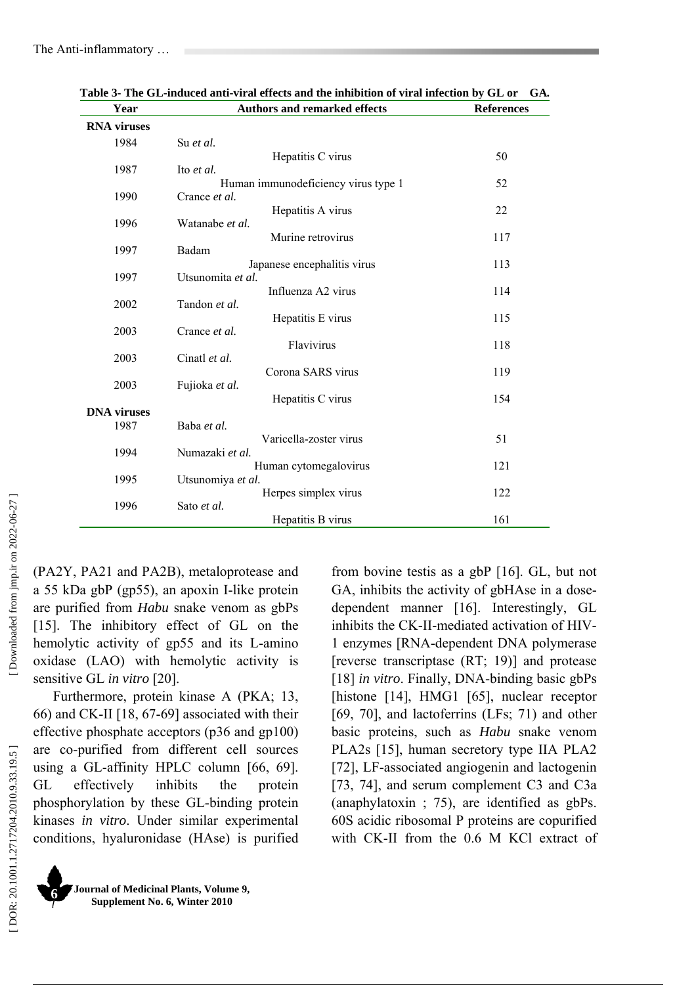| <b>Authors and remarked effects</b> | <b>References</b>                                                                                                                                                                                                                                                                                                                                                           |
|-------------------------------------|-----------------------------------------------------------------------------------------------------------------------------------------------------------------------------------------------------------------------------------------------------------------------------------------------------------------------------------------------------------------------------|
|                                     |                                                                                                                                                                                                                                                                                                                                                                             |
| Su et al.                           |                                                                                                                                                                                                                                                                                                                                                                             |
| Hepatitis C virus                   | 50                                                                                                                                                                                                                                                                                                                                                                          |
|                                     | 52                                                                                                                                                                                                                                                                                                                                                                          |
|                                     |                                                                                                                                                                                                                                                                                                                                                                             |
| Hepatitis A virus                   | 22                                                                                                                                                                                                                                                                                                                                                                          |
| Watanabe et al.                     |                                                                                                                                                                                                                                                                                                                                                                             |
|                                     | 117                                                                                                                                                                                                                                                                                                                                                                         |
|                                     | 113                                                                                                                                                                                                                                                                                                                                                                         |
| Utsunomita et al.                   |                                                                                                                                                                                                                                                                                                                                                                             |
| Influenza A2 virus                  | 114                                                                                                                                                                                                                                                                                                                                                                         |
|                                     | 115                                                                                                                                                                                                                                                                                                                                                                         |
|                                     |                                                                                                                                                                                                                                                                                                                                                                             |
| Flavivirus                          | 118                                                                                                                                                                                                                                                                                                                                                                         |
| Cinatl et al.                       |                                                                                                                                                                                                                                                                                                                                                                             |
|                                     | 119                                                                                                                                                                                                                                                                                                                                                                         |
|                                     | 154                                                                                                                                                                                                                                                                                                                                                                         |
|                                     |                                                                                                                                                                                                                                                                                                                                                                             |
|                                     |                                                                                                                                                                                                                                                                                                                                                                             |
|                                     | 51                                                                                                                                                                                                                                                                                                                                                                          |
|                                     | 121                                                                                                                                                                                                                                                                                                                                                                         |
| Utsunomiya et al.                   |                                                                                                                                                                                                                                                                                                                                                                             |
| Herpes simplex virus                | 122                                                                                                                                                                                                                                                                                                                                                                         |
|                                     | 161                                                                                                                                                                                                                                                                                                                                                                         |
|                                     | Ito et al.<br>Human immunodeficiency virus type 1<br>Crance et al.<br>Murine retrovirus<br>Badam<br>Japanese encephalitis virus<br>Tandon et al.<br>Hepatitis E virus<br>Crance et al.<br>Corona SARS virus<br>Fujioka et al.<br>Hepatitis C virus<br>Baba et al.<br>Varicella-zoster virus<br>Numazaki et al.<br>Human cytomegalovirus<br>Sato et al.<br>Hepatitis B virus |

**Table 3- The GL-induced anti-viral effects and the inhibition of viral infection by GL or GA***.* 

(PA2Y, PA21 and PA2B), metaloprotease and a 55 kDa gbP (gp55), an apoxin I-like protein are purified from *Habu* snake venom as gbPs [15]. The inhibitory effect of GL on the hemolytic activity of gp55 and its L-amino oxidase (LAO) with hemolytic activity is sensitive GL *in vitro* [20].

Furthermore, protein kinase A (PKA; 13, 66) and CK-II [18, 67-69] associated with their effective phosphate acceptors (p36 and gp100) are co-purified from different cell sources using a GL-affinity HPLC column [66, 69]. GL effectively inhibits the protein phosphorylation by these GL-binding protein kinases *in vitro*. Under similar experimental conditions, hyaluronidase (HAse) is purified from bovine testis as a gbP [16]. GL, but not GA, inhibits the activity of gbHAse in a dosedependent manner [16]. Interestingly, GL inhibits the CK-II-mediated activation of HIV-1 enzymes [RNA-dependent DNA polymerase [reverse transcriptase (RT; 19)] and protease [18] *in vitro*. Finally, DNA-binding basic gbPs [histone [14], HMG1 [65], nuclear receptor [69, 70], and lactoferrins (LFs; 71) and other basic proteins, such as *Habu* snake venom PLA2s [15], human secretory type IIA PLA2 [72], LF-associated angiogenin and lactogenin [73, 74], and serum complement C3 and C3a (anaphylatoxin ; 75), are identified as gbPs. 60S acidic ribosomal P proteins are copurified with CK-II from the 0.6 M KCl extract of

**Journal of Medicinal Plants, Volume 9, Supplement No. 6, Winter 2010 6**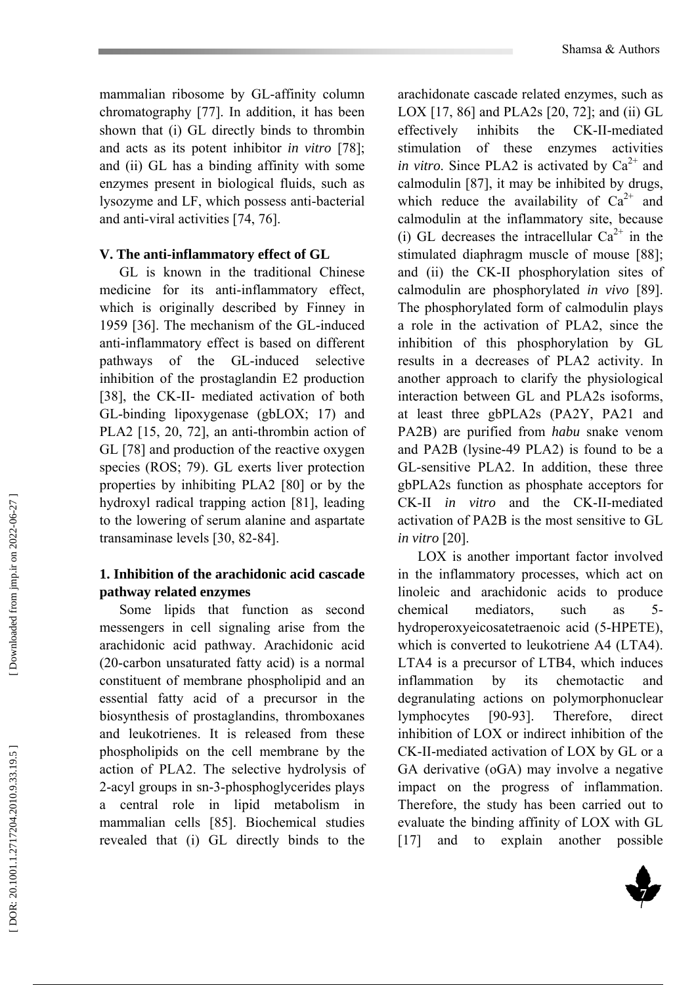mammalian ribosome by GL-affinity column chromatography [77]. In addition, it has been shown that (i) GL directly binds to thrombin and acts as its potent inhibitor *in vitro* [78]; and (ii) GL has a binding affinity with some enzymes present in biological fluids, such as lysozyme and LF, which possess anti-bacterial and anti-viral activities [74, 76].

#### **V. The anti-inflammatory effect of GL**

GL is known in the traditional Chinese medicine for its anti-inflammatory effect, which is originally described by Finney in 1959 [36]. The mechanism of the GL-induced anti-inflammatory effect is based on different pathways of the GL-induced selective inhibition of the prostaglandin E2 production [38], the CK-II- mediated activation of both GL-binding lipoxygenase (gbLOX; 17) and PLA2 [15, 20, 72], an anti-thrombin action of GL [78] and production of the reactive oxygen species (ROS; 79). GL exerts liver protection properties by inhibiting PLA2 [80] or by the hydroxyl radical trapping action [81], leading to the lowering of serum alanine and aspartate transaminase levels [30, 82-84].

#### **1. Inhibition of the arachidonic acid cascade pathway related enzymes**

Some lipids that function as second messengers in cell signaling arise from the arachidonic acid pathway. Arachidonic acid (20-carbon unsaturated fatty acid) is a normal constituent of membrane phospholipid and an essential fatty acid of a precursor in the biosynthesis of prostaglandins, thromboxanes and leukotrienes. It is released from these phospholipids on the cell membrane by the action of PLA2. The selective hydrolysis of 2-acyl groups in sn-3-phosphoglycerides plays a central role in lipid metabolism in mammalian cells [85]. Biochemical studies revealed that (i) GL directly binds to the

arachidonate cascade related enzymes, such as LOX [17, 86] and PLA2s [20, 72]; and (ii) GL effectively inhibits the CK-II-mediated stimulation of these enzymes activities *in vitro*. Since PLA2 is activated by  $Ca^{2+}$  and calmodulin [87], it may be inhibited by drugs, which reduce the availability of  $Ca^{2+}$  and calmodulin at the inflammatory site, because (i) GL decreases the intracellular  $Ca^{2+}$  in the stimulated diaphragm muscle of mouse [88]; and (ii) the CK-II phosphorylation sites of calmodulin are phosphorylated *in vivo* [89]. The phosphorylated form of calmodulin plays a role in the activation of PLA2, since the inhibition of this phosphorylation by GL results in a decreases of PLA2 activity. In another approach to clarify the physiological interaction between GL and PLA2s isoforms, at least three gbPLA2s (PA2Y, PA21 and PA2B) are purified from *habu* snake venom and PA2B (lysine-49 PLA2) is found to be a GL-sensitive PLA2. In addition, these three gbPLA2s function as phosphate acceptors for CK-II *in vitro* and the CK-II-mediated activation of PA2B is the most sensitive to GL *in vitro* [20].

LOX is another important factor involved in the inflammatory processes, which act on linoleic and arachidonic acids to produce chemical mediators, such as 5 hydroperoxyeicosatetraenoic acid (5-HPETE), which is converted to leukotriene A4 (LTA4). LTA4 is a precursor of LTB4, which induces inflammation by its chemotactic and degranulating actions on polymorphonuclear lymphocytes [90-93]. Therefore, direct inhibition of LOX or indirect inhibition of the CK-II-mediated activation of LOX by GL or a GA derivative (oGA) may involve a negative impact on the progress of inflammation. Therefore, the study has been carried out to evaluate the binding affinity of LOX with GL [17] and to explain another possible

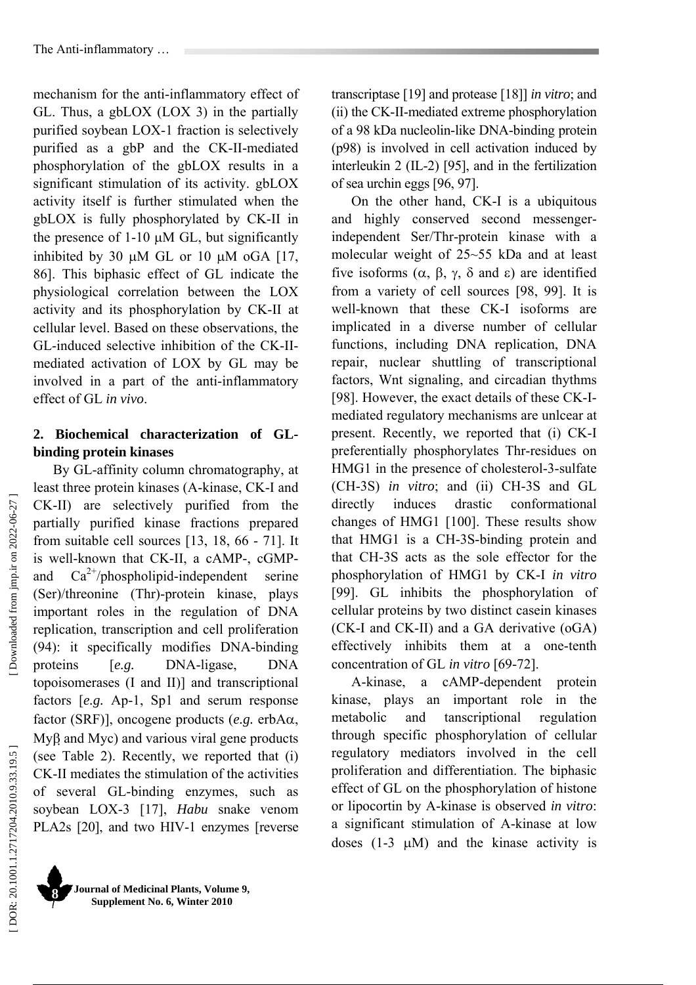mechanism for the anti-inflammatory effect of GL. Thus, a gbLOX (LOX 3) in the partially purified soybean LOX-1 fraction is selectively purified as a gbP and the CK-II-mediated phosphorylation of the gbLOX results in a significant stimulation of its activity. gbLOX activity itself is further stimulated when the gbLOX is fully phosphorylated by CK-II in the presence of 1-10 µM GL, but significantly inhibited by 30  $\mu$ M GL or 10  $\mu$ M oGA [17, 86]. This biphasic effect of GL indicate the physiological correlation between the LOX activity and its phosphorylation by CK-II at cellular level. Based on these observations, the GL-induced selective inhibition of the CK-IImediated activation of LOX by GL may be involved in a part of the anti-inflammatory effect of GL *in vivo*.

# **2. Biochemical characterization of GLbinding protein kinases**

By GL-affinity column chromatography, at least three protein kinases (A-kinase, CK-I and CK-II) are selectively purified from the partially purified kinase fractions prepared from suitable cell sources [13, 18, 66 - 71]. It is well-known that CK-II, a cAMP-, cGMPand  $Ca^{2+}/phospholipid-independent$  serine (Ser)/threonine (Thr)-protein kinase, plays important roles in the regulation of DNA replication, transcription and cell proliferation (94): it specifically modifies DNA-binding proteins [*e.g.* DNA-ligase, DNA topoisomerases (I and II)] and transcriptional factors [*e.g.* Ap-1, Sp1 and serum response factor (SRF)], oncogene products (*e.g.* erbA α, My β and Myc) and various viral gene products (see Table 2). Recently, we reported that (i) CK-II mediates the stimulation of the activities of several GL-binding enzymes, such as soybean LOX-3 [17], *Habu* snake venom PLA2s [20], and two HIV-1 enzymes [reverse

transcriptase [19] and protease [18]] *in vitro*; and (ii) the CK-II-mediated extreme phosphorylation of a 98 kDa nucleolin-like DNA-binding protein (p98) is involved in cell activation induced by interleukin 2 (IL-2) [95], and in the fertilization of sea urchin eggs [96, 97].

On the other hand, CK-I is a ubiquitous and highly conserved second messengerindependent Ser/Thr-protein kinase with a molecular weight of 25~55 kDa and at least five isoforms  $(α, β, γ, δ$  and  $ε)$  are identified from a variety of cell sources [98, 99]. It is well-known that these CK-I isoforms are implicated in a diverse number of cellular functions, including DNA replication, DNA repair, nuclear shuttling of transcriptional factors, Wnt signaling, and circadian thythms [98]. However, the exact details of these CK-Imediated regulatory mechanisms are unlcear at present. Recently, we reported that (i) CK-I preferentially phosphorylates Thr-residues on HMG1 in the presence of cholesterol-3-sulfate (CH-3S) *in vitro*; and (ii) CH-3S and GL directly induces drastic conformational changes of HMG1 [100]. These results show that HMG1 is a CH-3S-binding protein and that CH-3S acts as the sole effector for the phosphorylation of HMG1 by CK-I *in vitro* [99]. GL inhibits the phosphorylation of cellular proteins by two distinct casein kinases (CK-I and CK-II) and a GA derivative (oGA) effectively inhibits them at a one-tenth concentration of GL *in vitro* [69-72].

A-kinase, a cAMP-dependent protein kinase, plays an important role in the metabolic and tanscriptional regulation through specific phosphorylation of cellular regulatory mediators involved in the cell proliferation and differentiation. The biphasic effect of GL on the phosphorylation of histone or lipocortin by A-kinase is observed *in vitro*: a significant stimulation of A-kinase at low doses  $(1-3 \mu M)$  and the kinase activity is

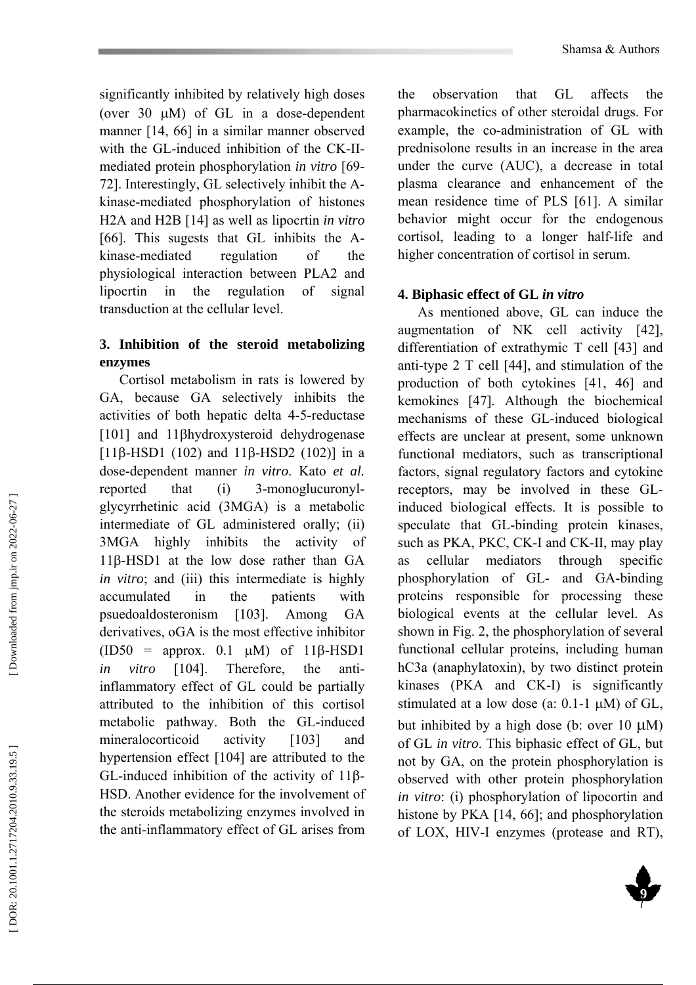significantly inhibited by relatively high doses (over 30 µM) of GL in a dose-dependent manner [14, 66] in a similar manner observed with the GL-induced inhibition of the CK-IImediated protein phosphorylation *in vitro* [69- 72]. Interestingly, GL selectively inhibit the Akinase-mediated phosphorylation of histones H2A and H2B [14] as well as lipocrtin *in vitro* [66]. This sugests that GL inhibits the Akinase-mediated regulation of the physiological interaction between PLA2 and lipocrtin in the regulation of signal transduction at the cellular level.

# **3. Inhibition of the steroid metabolizing enzymes**

Cortisol metabolism in rats is lowered by GA, because GA selectively inhibits the activities of both hepatic delta 4-5-reductase [101] and 11 βhydroxysteroid dehydrogenase [ $11\beta$ -HSD1 (102) and  $11\beta$ -HSD2 (102)] in a dose-dependent manner *in vitro*. Kato *et al.* reported that (i) 3-monoglucuronylglycyrrhetinic acid (3MGA) is a metabolic intermediate of GL administered orally; (ii) 3MGA highly inhibits the activity of 11 β-HSD1 at the low dose rather than GA *in vitro*; and (iii) this intermediate is highly accumulated in the patients with psuedoaldosteronism [103]. Among GA derivatives, oGA is the most effective inhibitor (ID50 = approx. 0.1  $\mu$ M) of 11 $\beta$ -HSD1 *in vitro* [104]. Therefore, the antiinflammatory effect of GL could be partially attributed to the inhibition of this cortisol metabolic pathway. Both the GL-induced mineralocorticoid activity [103] and hypertension effect [104] are attributed to the GL-induced inhibition of the activity of 11 β - HSD. Another evidence for the involvement of the steroids metabolizing enzymes involved in the anti-inflammatory effect of GL arises from

the observation that GL affects the pharmacokinetics of other steroidal drugs. For example, the co-administration of GL with prednisolone results in an increase in the area under the curve (AUC), a decrease in total plasma clearance and enhancement of the mean residence time of PLS [61]. A similar behavior might occur for the endogenous cortisol, leading to a longer half-life and higher concentration of cortisol in serum.

# **4. Biphasic effect of GL** *in vitro*

As mentioned above, GL can induce the augmentation of NK cell activity [42], differentiation of extrathymic T cell [43] and anti-type 2 T cell [44], and stimulation of the production of both cytokines [41, 46] and kemokines [47] *.* Although the biochemical mechanisms of these GL-induced biological effects are unclear at present, some unknown functional mediators, such as transcriptional factors, signal regulatory factors and cytokine receptors, may be involved in these GLinduced biological effects. It is possible to speculate that GL-binding protein kinases, such as PKA, PKC, CK-I and CK-II, may play as cellular mediators through specific phosphorylation of GL- and GA-binding proteins responsible for processing these biological events at the cellular level. As shown in Fig. 2, the phosphorylation of several functional cellular proteins, including human hC3a (anaphylatoxin), by two distinct protein kinases (PKA and CK-I) is significantly stimulated at a low dose (a:  $0.1$ -1  $\mu$ M) of GL, but inhibited by a high dose (b: over  $10 \mu M$ ) of GL *in vitro*. This biphasic effect of GL, but not by GA, on the protein phosphorylation is observed with other protein phosphorylation *in vitro*: (i) phosphorylation of lipocortin and histone by PKA [14, 66]; and phosphorylation of LOX, HIV-I enzymes (protease and RT),

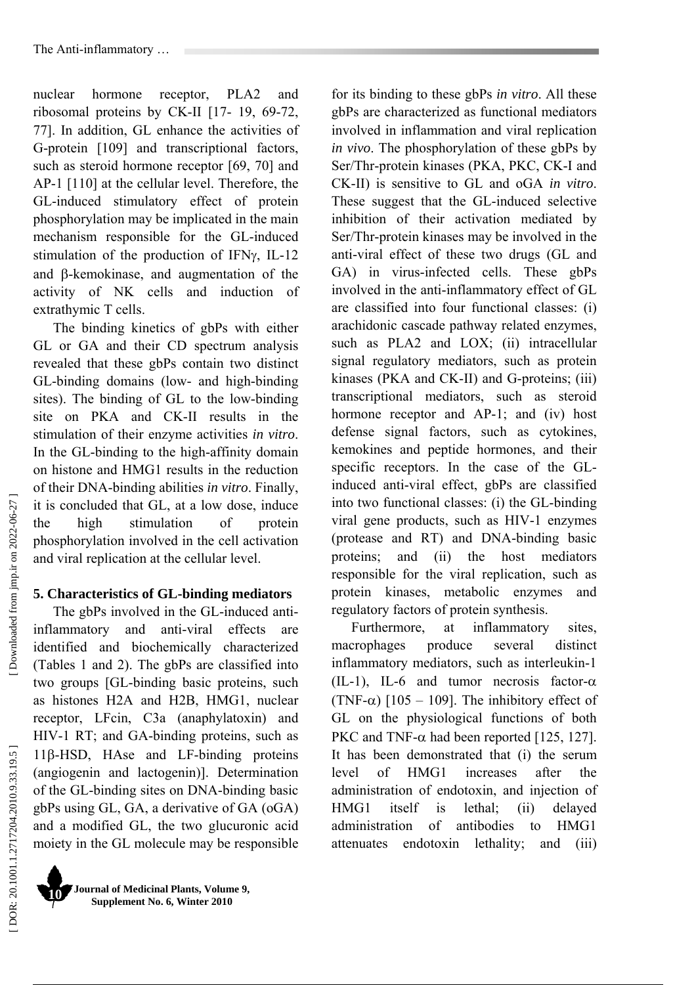nuclear hormone receptor, PLA2 and ribosomal proteins by CK-II [17- 19, 69-72, 77]. In addition, GL enhance the activities of G-protein [109] and transcriptional factors, such as steroid hormone receptor [69, 70] and AP-1 [110] at the cellular level. Therefore, the GL-induced stimulatory effect of protein phosphorylation may be implicated in the main mechanism responsible for the GL-induced stimulation of the production of IFN γ, IL-12 and β-kemokinase, and augmentation of the activity of NK cells and induction of extrathymic T cells.

The binding kinetics of gbPs with either GL or GA and their CD spectrum analysis revealed that these gbPs contain two distinct GL-binding domains (low- and high-binding sites). The binding of GL to the low-binding site on PKA and CK-II results in the stimulation of their enzyme activities *in vitro*. In the GL-binding to the high-affinity domain on histone and HMG1 results in the reduction of their DNA-binding abilities *in vitro*. Finally, it is concluded that GL, at a low dose, induce the high stimulation of protein phosphorylation involved in the cell activation and viral replication at the cellular level.

### **5. Characteristics of GL-binding mediators**

The gbPs involved in the GL-induced antiinflammatory and anti-viral effects are identified and biochemically characterized (Tables 1 and 2). The gbPs are classified into two groups [GL-binding basic proteins, such as histones H2A and H2B, HMG1, nuclear receptor, LFcin, C3a (anaphylatoxin) and HIV-1 RT; and GA-binding proteins, such as 11 β-HSD, HAse and LF-binding proteins (angiogenin and lactogenin)]. Determination of the GL-binding sites on DNA-binding basic gbPs using GL, GA, a derivative of GA (oGA) and a modified GL, the two glucuronic acid moiety in the GL molecule may be responsible

**Journal of Medicinal Plants, Volume 9, Supplement No. 6, Winter 2010 10** 

for its binding to these gbPs *in vitro*. All these gbPs are characterized as functional mediators involved in inflammation and viral replication *in vivo*. The phosphorylation of these gbPs by Ser/Thr-protein kinases (PKA, PKC, CK-I and CK-II) is sensitive to GL and oGA *in vitro*. These suggest that the GL-induced selective inhibition of their activation mediated by Ser/Thr-protein kinases may be involved in the anti-viral effect of these two drugs (GL and GA) in virus-infected cells. These gbPs involved in the anti-inflammatory effect of GL are classified into four functional classes: (i) arachidonic cascade pathway related enzymes, such as PLA2 and LOX; (ii) intracellular signal regulatory mediators, such as protein kinases (PKA and CK-II) and G-proteins; (iii) transcriptional mediators, such as steroid hormone receptor and AP-1; and (iv) host defense signal factors, such as cytokines, kemokines and peptide hormones, and their specific receptors. In the case of the GLinduced anti-viral effect, gbPs are classified into two functional classes: (i) the GL-binding viral gene products, such as HIV-1 enzymes (protease and RT) and DNA-binding basic proteins; and (ii) the host mediators responsible for the viral replication, such as protein kinases, metabolic enzymes and regulatory factors of protein synthesis.

Furthermore, at inflammatory sites, macrophages produce several distinct inflammatory mediators, such as interleukin-1  $(IL-1)$ , IL-6 and tumor necrosis factor- $\alpha$ (TNF- $\alpha$ ) [105 – 109]. The inhibitory effect of GL on the physiological functions of both PKC and TNF- $\alpha$  had been reported [125, 127]. It has been demonstrated that (i) the serum level of HMG1 increases after the administration of endotoxin, and injection of HMG1 itself is lethal; (ii) delayed administration of antibodies to HMG1 attenuates endotoxin lethality; and (iii)

Downloaded from jmp.ir on 2022-06-27]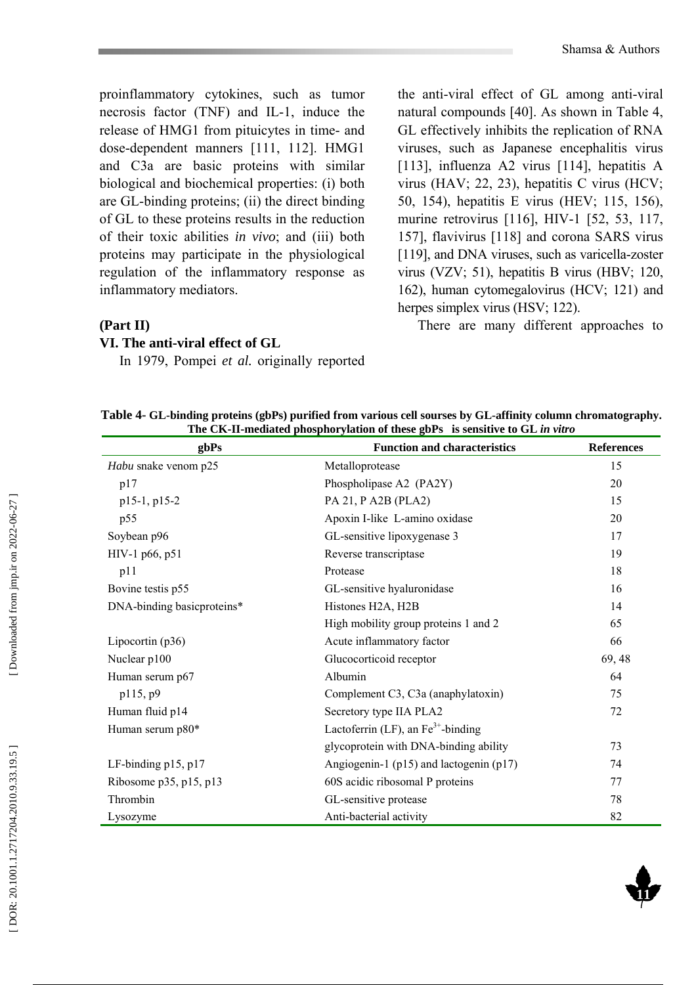proinflammatory cytokines, such as tumor necrosis factor (TNF) and IL-1, induce the release of HMG1 from pituicytes in time- and dose-dependent manners [111, 112]. HMG1 and C3a are basic proteins with similar biological and biochemical properties: (i) both are GL-binding proteins; (ii) the direct binding of GL to these proteins results in the reduction of their toxic abilities *in vivo*; and (iii) both proteins may participate in the physiological regulation of the inflammatory response as inflammatory mediators.

the anti-viral effect of GL among anti-viral natural compounds [40]. As shown in Table 4, GL effectively inhibits the replication of RNA viruses, such as Japanese encephalitis virus [113], influenza A2 virus [114], hepatitis A virus (HAV; 22, 23), hepatitis C virus (HCV; 50, 154), hepatitis E virus (HEV; 115, 156), murine retrovirus [116], HIV-1 [52, 53, 117, 157], flavivirus [118] and corona SARS virus [119], and DNA viruses, such as varicella-zoster virus (VZV; 51), hepatitis B virus (HBV; 120, 162), human cytomegalovirus (HCV; 121) and herpes simplex virus (HSV; 122).

There are many different approaches to

### **(Part II)**

#### **VI. The anti-viral effect of GL**

In 1979, Pompei *et al.* originally reported

**Table 4- GL-binding proteins (gbPs) purified from various cell sourses by GL-affinity column chromatography. The CK-II-mediated phosphorylation of these gbPs is sensitive to GL** *in vitro*

| gbPs                       | <b>Function and characteristics</b>             | <b>References</b> |
|----------------------------|-------------------------------------------------|-------------------|
| Habu snake venom p25       | Metalloprotease                                 | 15                |
| p17                        | Phospholipase A2 (PA2Y)                         | 20                |
| p15-1, p15-2               | PA 21, P A2B (PLA2)                             | 15                |
| p55                        | Apoxin I-like L-amino oxidase                   | 20                |
| Soybean p96                | GL-sensitive lipoxygenase 3                     | 17                |
| HIV-1 p66, p51             | Reverse transcriptase                           | 19                |
| p11                        | Protease                                        | 18                |
| Bovine testis p55          | GL-sensitive hyaluronidase                      | 16                |
| DNA-binding basicproteins* | Histones H2A, H2B                               | 14                |
|                            | High mobility group proteins 1 and 2            | 65                |
| Lipocortin (p36)           | Acute inflammatory factor                       | 66                |
| Nuclear p100               | Glucocorticoid receptor                         | 69, 48            |
| Human serum p67            | Albumin                                         | 64                |
| p115, p9                   | Complement C3, C3a (anaphylatoxin)              | 75                |
| Human fluid p14            | Secretory type IIA PLA2                         | 72                |
| Human serum p80*           | Lactoferrin (LF), an $Fe^{3+}$ -binding         |                   |
|                            | glycoprotein with DNA-binding ability           | 73                |
| LF-binding p15, p17        | Angiogenin-1 ( $p15$ ) and lactogenin ( $p17$ ) | 74                |
| Ribosome p35, p15, p13     | 60S acidic ribosomal P proteins                 | 77                |
| Thrombin                   | GL-sensitive protease                           | 78                |
| Lysozyme                   | Anti-bacterial activity                         | 82                |

DOR: 20.1001.1.2717204.2010.9.33.19.5]

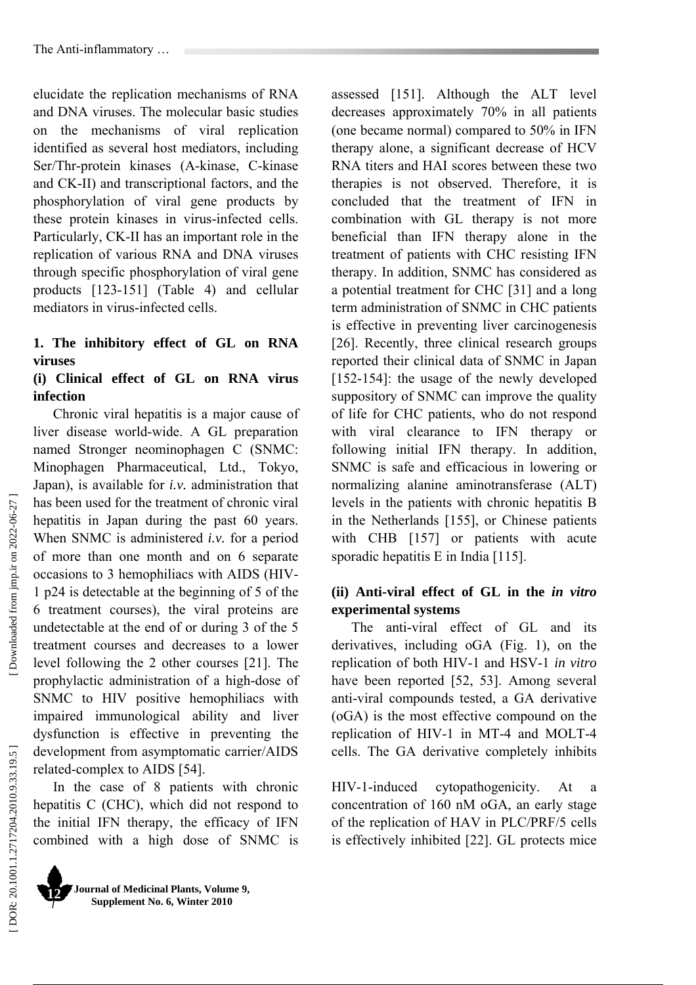elucidate the replication mechanisms of RNA and DNA viruses. The molecular basic studies on the mechanisms of viral replication identified as several host mediators, including Ser/Thr-protein kinases (A-kinase, C-kinase and CK-II) and transcriptional factors, and the phosphorylation of viral gene products by these protein kinases in virus-infected cells. Particularly, CK-II has an important role in the replication of various RNA and DNA viruses through specific phosphorylation of viral gene products [123-151] (Table 4) and cellular mediators in virus-infected cells.

# **1. The inhibitory effect of GL on RNA viruses**

### **(i) Clinical effect of GL on RNA virus infection**

Chronic viral hepatitis is a major cause of liver disease world-wide. A GL preparation named Stronger neominophagen C (SNMC: Minophagen Pharmaceutical, Ltd., Tokyo, Japan), is available for *i.v.* administration that has been used for the treatment of chronic viral hepatitis in Japan during the past 60 years. When SNMC is administered *i.v.* for a period of more than one month and on 6 separate occasions to 3 hemophiliacs with AIDS (HIV-1 p24 is detectable at the beginning of 5 of the 6 treatment courses), the viral proteins are undetectable at the end of or during 3 of the 5 treatment courses and decreases to a lower level following the 2 other courses [21]. The prophylactic administration of a high-dose of SNMC to HIV positive hemophiliacs with impaired immunological ability and liver dysfunction is effective in preventing the development from asymptomatic carrier/AIDS related-complex to AIDS [54].

In the case of 8 patients with chronic hepatitis C (CHC), which did not respond to the initial IFN therapy, the efficacy of IFN combined with a high dose of SNMC is

**Journal of Medicinal Plants, Volume 9, Supplement No. 6, Winter 2010 12** 

assessed [151]. Although the ALT level decreases approximately 70% in all patients (one became normal) compared to 50% in IFN therapy alone, a significant decrease of HCV RNA titers and HAI scores between these two therapies is not observed. Therefore, it is concluded that the treatment of IFN in combination with GL therapy is not more beneficial than IFN therapy alone in the treatment of patients with CHC resisting IFN therapy. In addition, SNMC has considered as a potential treatment for CHC [31] and a long term administration of SNMC in CHC patients is effective in preventing liver carcinogenesis [26]. Recently, three clinical research groups reported their clinical data of SNMC in Japan [152-154]: the usage of the newly developed suppository of SNMC can improve the quality of life for CHC patients, who do not respond with viral clearance to IFN therapy or following initial IFN therapy. In addition, SNMC is safe and efficacious in lowering or normalizing alanine aminotransferase (ALT) levels in the patients with chronic hepatitis B in the Netherlands [155], or Chinese patients with CHB [157] or patients with acute sporadic hepatitis E in India [115].

# **(ii) Anti-viral effect of GL in the** *in vitro* **experimental systems**

The anti-viral effect of GL and its derivatives, including oGA (Fig. 1), on the replication of both HIV-1 and HSV-1 *in vitro* have been reported [52, 53]. Among several anti-viral compounds tested, a GA derivative (oGA) is the most effective compound on the replication of HIV-1 in MT-4 and MOLT-4 cells. The GA derivative completely inhibits

HIV-1-induced cytopathogenicity. At a concentration of 160 nM oGA, an early stage of the replication of HAV in PLC/PRF/5 cells is effectively inhibited [22]. GL protects mice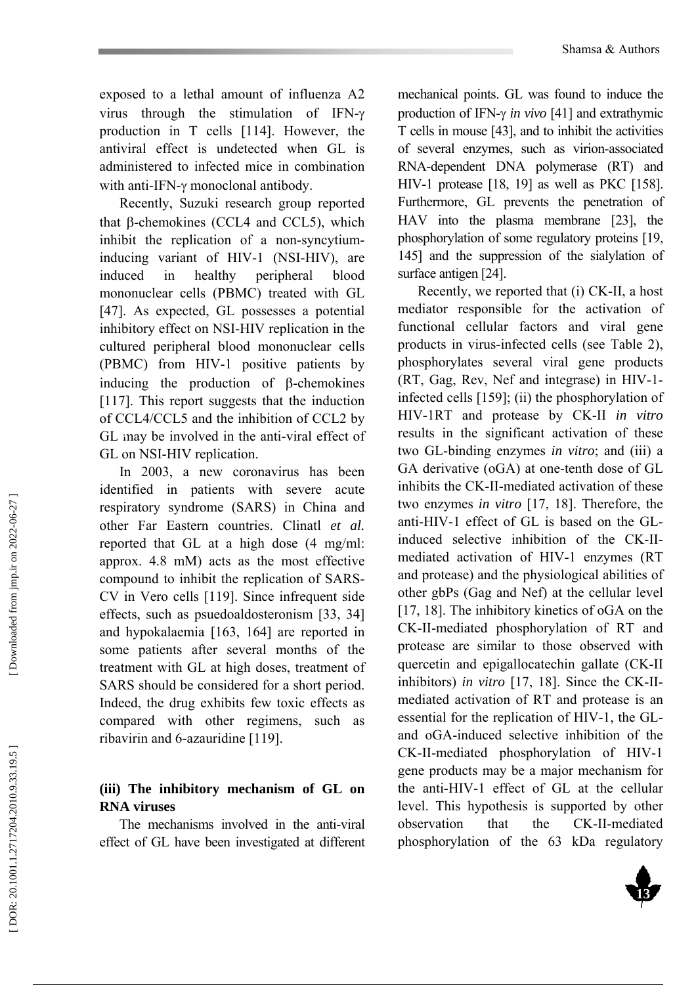exposed to a lethal amount of influenza A2 virus through the stimulation of IFN-γ production in T cells [114]. However, the antiviral effect is undetected when GL is administered to infected mice in combination with anti-IFN-γ monoclonal antibody.

Recently, Suzuki research group reported that β-chemokines (CCL4 and CCL5), which inhibit the replication of a non-syncytiuminducing variant of HIV-1 (NSI-HIV), are induced in healthy peripheral blood mononuclear cells (PBMC) treated with GL [47]. As expected, GL possesses a potential inhibitory effect on NSI-HIV replication in the cultured peripheral blood mononuclear cells (PBMC) from HIV-1 positive patients by inducing the production of β-chemokines [117]. This report suggests that the induction of CCL4/CCL5 and the inhibition of CCL2 by GL may be involved in the anti-viral effect of GL on NSI-HIV replication.

In 2003, a new coronavirus has been identified in patients with severe acute respiratory syndrome (SARS) in China and other Far Eastern countries. Clinatl *et al.* reported that GL at a high dose (4 mg/ml: approx. 4.8 mM) acts as the most effective compound to inhibit the replication of SARS-CV in Vero cells [119]. Since infrequent side effects, such as psuedoaldosteronism [33, 34] and hypokalaemia [163, 164] are reported in some patients after several months of the treatment with GL at high doses, treatment of SARS should be considered for a short period. Indeed, the drug exhibits few toxic effects as compared with other regimens, such as ribavirin and 6-azauridine [119].

# **(iii) The inhibitory mechanism of GL on RNA viruses**

The mechanisms involved in the anti-viral effect of GL have been investigated at different

mechanical points. GL was found to induce the production of IFN-γ *in vivo* [41] and extrathymic T cells in mouse [43], and to inhibit the activities of several enzymes, such as virion-associated RNA-dependent DNA polymerase (RT) and HIV-1 protease [18, 19] as well as PKC [158]. Furthermore, GL prevents the penetration of HAV into the plasma membrane [23], the phosphorylation of some regulatory proteins [19, 145] and the suppression of the sialylation of surface antigen [24].

Recently, we reported that (i) CK-II, a host mediator responsible for the activation of functional cellular factors and viral gene products in virus-infected cells (see Table 2), phosphorylates several viral gene products (RT, Gag, Rev, Nef and integrase) in HIV-1 infected cells [159]; (ii) the phosphorylation of HIV-1RT and protease by CK-II *in vitro* results in the significant activation of these two GL-binding enzymes *in vitro*; and (iii) a GA derivative (oGA) at one-tenth dose of GL inhibits the CK-II-mediated activation of these two enzymes *in vitro* [17, 18]. Therefore, the anti-HIV-1 effect of GL is based on the GLinduced selective inhibition of the CK-IImediated activation of HIV-1 enzymes (RT and protease) and the physiological abilities of other gbPs (Gag and Nef) at the cellular level [17, 18]. The inhibitory kinetics of oGA on the CK-II-mediated phosphorylation of RT and protease are similar to those observed with quercetin and epigallocatechin gallate (CK-II inhibitors) *in vitro* [17, 18]. Since the CK-IImediated activation of RT and protease is an essential for the replication of HIV-1, the GLand oGA-induced selective inhibition of the CK-II-mediated phosphorylation of HIV-1 gene products may be a major mechanism for the anti-HIV-1 effect of GL at the cellular level. This hypothesis is supported by other observation that the CK-II-mediated phosphorylation of the 63 kDa regulatory

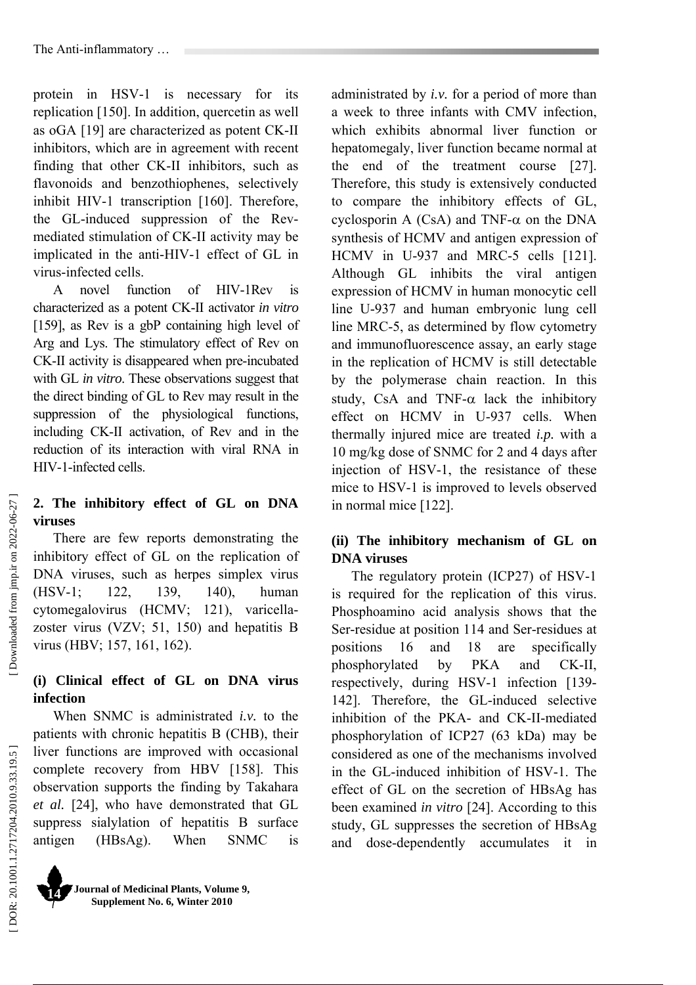protein in HSV-1 is necessary for its replication [150]. In addition, quercetin as well as oGA [19] are characterized as potent CK-II inhibitors, which are in agreement with recent finding that other CK-II inhibitors, such as flavonoids and benzothiophenes, selectively inhibit HIV-1 transcription [160]. Therefore, the GL-induced suppression of the Revmediated stimulation of CK-II activity may be implicated in the anti-HIV-1 effect of GL in virus-infected cells.

A novel function of HIV-1Rev is characterized as a potent CK-II activator *in vitro* [159], as Rev is a gbP containing high level of Arg and Lys. The stimulatory effect of Rev on CK-II activity is disappeared when pre-incubated with GL *in vitro*. These observations suggest that the direct binding of GL to Rev may result in the suppression of the physiological functions, including CK-II activation, of Rev and in the reduction of its interaction with viral RNA in HIV-1-infected cells.

# **2. The inhibitory effect of GL on DNA viruses**

There are few reports demonstrating the inhibitory effect of GL on the replication of DNA viruses, such as herpes simplex virus (HSV-1; 122, 139, 140), human cytomegalovirus (HCMV; 121), varicellazoster virus (VZV; 51, 150) and hepatitis B virus (HBV; 157, 161, 162).

# **(i) Clinical effect of GL on DNA virus infection**

When SNMC is administrated *i.v.* to the patients with chronic hepatitis B (CHB), their liver functions are improved with occasional complete recovery from HBV [158]. This observation supports the finding by Takahara *et al.* [24], who have demonstrated that GL suppress sialylation of hepatitis B surface antigen (HBsAg). When SNMC is administrated by *i.v.* for a period of more than a week to three infants with CMV infection, which exhibits abnormal liver function or hepatomegaly, liver function became normal at the end of the treatment course [27]. Therefore, this study is extensively conducted to compare the inhibitory effects of GL, cyclosporin A  $(CsA)$  and TNF- $\alpha$  on the DNA synthesis of HCMV and antigen expression of HCMV in U-937 and MRC-5 cells [121]. Although GL inhibits the viral antigen expression of HCMV in human monocytic cell line U-937 and human embryonic lung cell line MRC-5, as determined by flow cytometry and immunofluorescence assay, an early stage in the replication of HCMV is still detectable by the polymerase chain reaction. In this study, CsA and TNF- $\alpha$  lack the inhibitory effect on HCMV in U-937 cells. When thermally injured mice are treated *i.p.* with a 10 mg/kg dose of SNMC for 2 and 4 days after injection of HSV-1, the resistance of these mice to HSV-1 is improved to levels observed in normal mice [122].

# **(ii) The inhibitory mechanism of GL on DNA viruses**

The regulatory protein (ICP27) of HSV-1 is required for the replication of this virus. Phosphoamino acid analysis shows that the Ser-residue at position 114 and Ser-residues at positions 16 and 18 are specifically phosphorylated by PKA and CK-II, respectively, during HSV-1 infection [139- 142]. Therefore, the GL-induced selective inhibition of the PKA- and CK-II-mediated phosphorylation of ICP27 (63 kDa) may be considered as one of the mechanisms involved in the GL-induced inhibition of HSV-1. The effect of GL on the secretion of HBsAg has been examined *in vitro* [24]. According to this study, GL suppresses the secretion of HBsAg and dose-dependently accumulates it in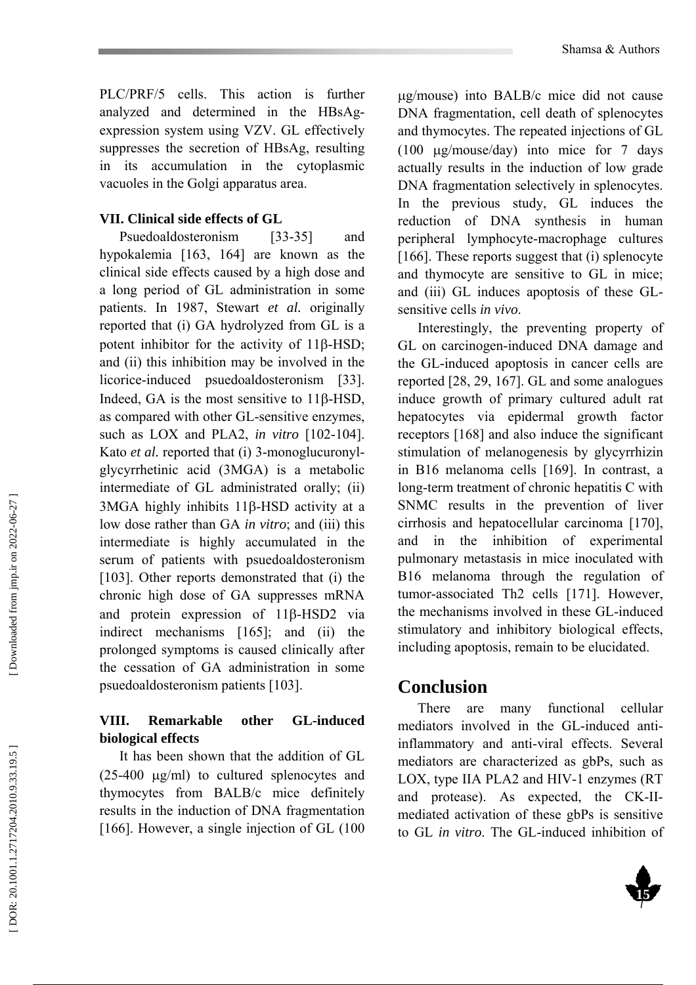PLC/PRF/5 cells. This action is further analyzed and determined in the HBsAgexpression system using VZV. GL effectively suppresses the secretion of HBsAg, resulting in its accumulation in the cytoplasmic vacuoles in the Golgi apparatus area.

#### **VII. Clinical side effects of GL**

Psuedoaldosteronism [33-35] and hypokalemia [163, 164] are known as the clinical side effects caused by a high dose and a long period of GL administration in some patients. In 1987, Stewart *et al.* originally reported that (i) GA hydrolyzed from GL is a potent inhibitor for the activity of 11 β-HSD; and (ii) this inhibition may be involved in the licorice-induced psuedoaldosteronism [33]. Indeed, GA is the most sensitive to 11 β-HSD, as compared with other GL-sensitive enzymes, such as LOX and PLA2, *in vitro* [102-104]. Kato *et al.* reported that (i) 3-monoglucuronylglycyrrhetinic acid (3MGA) is a metabolic intermediate of GL administrated orally; (ii) 3MGA highly inhibits 11 β-HSD activity at a low dose rather than GA *in vitro*; and (iii) this intermediate is highly accumulated in the serum of patients with psuedoaldosteronism [103]. Other reports demonstrated that (i) the chronic high dose of GA suppresses mRNA and protein expression of 11 β-HSD2 via indirect mechanisms [165]; and (ii) the prolonged symptoms is caused clinically after the cessation of GA administration in some psuedoaldosteronism patients [103].

# **VIII. Remarkable other GL-induced biological effects**

It has been shown that the addition of GL (25-400 µg/ml) to cultured splenocytes and thymocytes from BALB/c mice definitely results in the induction of DNA fragmentation [166]. However, a single injection of GL (100

µg/mouse) into BALB/c mice did not cause DNA fragmentation, cell death of splenocytes and thymocytes. The repeated injections of GL (100 µg/mouse/day) into mice for 7 days actually results in the induction of low grade DNA fragmentation selectively in splenocytes. In the previous study, GL induces the reduction of DNA synthesis in human peripheral lymphocyte-macrophage cultures [166]. These reports suggest that (i) splenocyte and thymocyte are sensitive to GL in mice; and (iii) GL induces apoptosis of these GLsensitive cells *in vivo*.

Interestingly, the preventing property of GL on carcinogen-induced DNA damage and the GL-induced apoptosis in cancer cells are reported [28, 29, 167]. GL and some analogues induce growth of primary cultured adult rat hepatocytes via epidermal growth factor receptors [168] and also induce the significant stimulation of melanogenesis by glycyrrhizin in B16 melanoma cells [169]. In contrast, a long-term treatment of chronic hepatitis C with SNMC results in the prevention of liver cirrhosis and hepatocellular carcinoma [170], and in the inhibition of experimental pulmonary metastasis in mice inoculated with B16 melanoma through the regulation of tumor-associated Th2 cells [171]. However, the mechanisms involved in these GL-induced stimulatory and inhibitory biological effects, including apoptosis, remain to be elucidated.

# **Conclusion**

There are many functional cellular mediators involved in the GL-induced antiinflammatory and anti-viral effects. Several mediators are characterized as gbPs, such as LOX, type IIA PLA2 and HIV-1 enzymes (RT and protease). As expected, the CK-IImediated activation of these gbPs is sensitive to GL *in vitro*. The GL-induced inhibition of

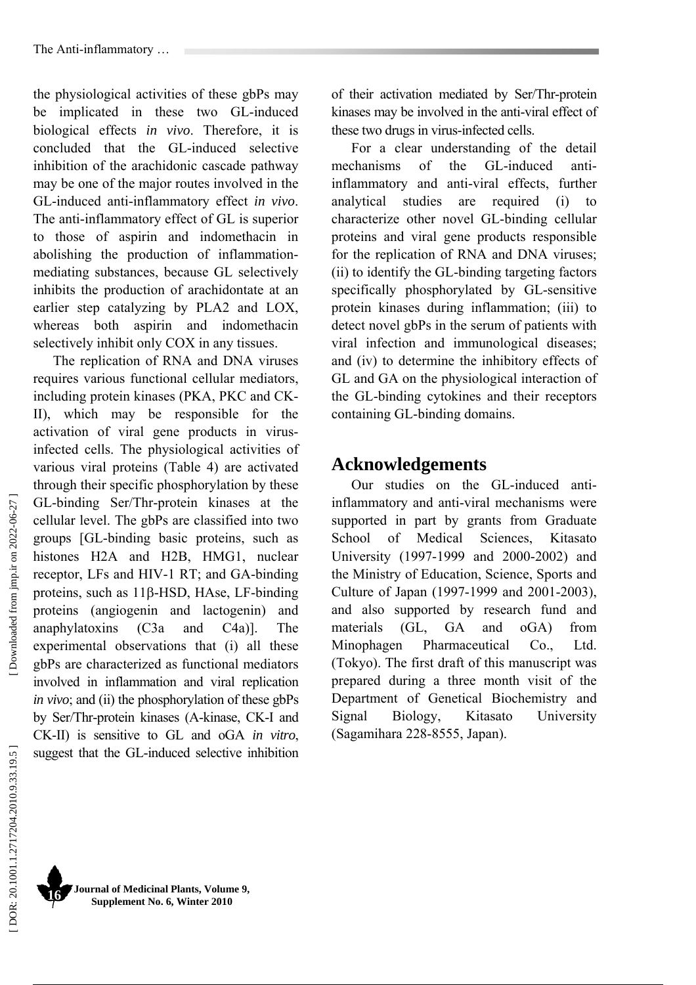the physiological activities of these gbPs may be implicated in these two GL-induced biological effects *in vivo*. Therefore, it is concluded that the GL-induced selective inhibition of the arachidonic cascade pathway may be one of the major routes involved in the GL-induced anti-inflammatory effect *in vivo*. The anti-inflammatory effect of GL is superior to those of aspirin and indomethacin in abolishing the production of inflammationmediating substances, because GL selectively inhibits the production of arachidontate at an earlier step catalyzing by PLA2 and LOX, whereas both aspirin and indomethacin selectively inhibit only COX in any tissues.

The replication of RNA and DNA viruses requires various functional cellular mediators, including protein kinases (PKA, PKC and CK-II), which may be responsible for the activation of viral gene products in virusinfected cells. The physiological activities of various viral proteins (Table 4) are activated through their specific phosphorylation by these GL-binding Ser/Thr-protein kinases at the cellular level. The gbPs are classified into two groups [GL-binding basic proteins, such as histones H2A and H2B, HMG1, nuclear receptor, LFs and HIV-1 RT; and GA-binding proteins, such as 11 β-HSD, HAse, LF-binding proteins (angiogenin and lactogenin) and anaphylatoxins (C3a and C4a)]. The experimental observations that (i) all these gbPs are characterized as functional mediators involved in inflammation and viral replication *in vivo*; and (ii) the phosphorylation of these gbPs by Ser/Thr-protein kinases (A-kinase, CK-I and CK-II) is sensitive to GL and oGA *in vitro*, suggest that the GL-induced selective inhibition

of their activation mediated by Ser/Thr-protein kinases may be involved in the anti-viral effect of these two drugs in virus-infected cells.

For a clear understanding of the detail mechanisms of the GL-induced antiinflammatory and anti-viral effects, further analytical studies are required (i) to characterize other novel GL-binding cellular proteins and viral gene products responsible for the replication of RNA and DNA viruses; (ii) to identify the GL-binding targeting factors specifically phosphorylated by GL-sensitive protein kinases during inflammation; (iii) to detect novel gbPs in the serum of patients with viral infection and immunological diseases; and (iv) to determine the inhibitory effects of GL and GA on the physiological interaction of the GL-binding cytokines and their receptors containing GL-binding domains.

# **Acknowledgements**

Our studies on the GL-induced antiinflammatory and anti-viral mechanisms were supported in part by grants from Graduate School of Medical Sciences, Kitasato University (1997-1999 and 2000-2002) and the Ministry of Education, Science, Sports and Culture of Japan (1997-1999 and 2001-2003), and also supported by research fund and materials (GL, GA and oGA) from Minophagen Pharmaceutical Co., Ltd. (Tokyo). The first draft of this manuscript was prepared during a three month visit of the Department of Genetical Biochemistry and Signal Biology, Kitasato University (Sagamihara 228-8555, Japan).

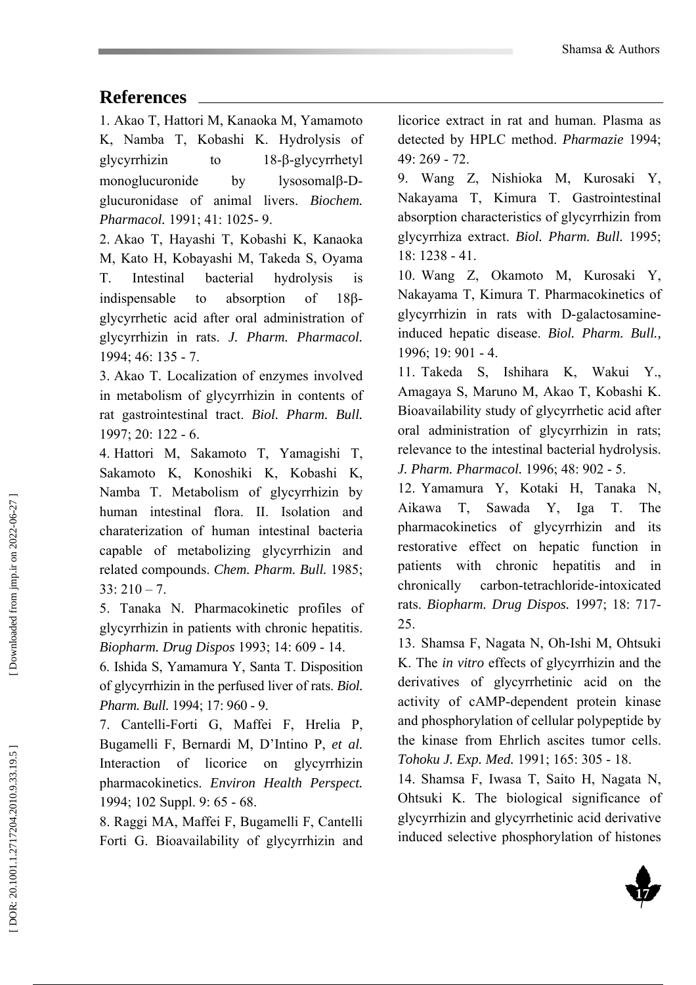# **References**

1. Akao T, Hattori M, Kanaoka M, Yamamoto K, Namba T, Kobashi K. Hydrolysis of glycyrrhizin to β-glycyrrhetyl monoglucuronide by lvsosomalβ-Dglucuronidase of animal livers. *Biochem. Pharmacol.* 1991; 41: 1025- 9.

2. Akao T, Hayashi T, Kobashi K, Kanaoka M, Kato H, Kobayashi M, Takeda S, Oyama T. Intestinal bacterial hydrolysis is indispensable to absorption of β glycyrrhetic acid after oral administration of glycyrrhizin in rats. *J. Pharm. Pharmacol.* 1994; 46: 135 - 7.

3. Akao T. Localization of enzymes involved in metabolism of glycyrrhizin in contents of rat gastrointestinal tract. *Biol. Pharm. Bull.* 1997; 20: 122 - 6.

4. Hattori M, Sakamoto T, Yamagishi T, Sakamoto K, Konoshiki K, Kobashi K, Namba T. Metabolism of glycyrrhizin by human intestinal flora. II. Isolation and charaterization of human intestinal bacteria capable of metabolizing glycyrrhizin and related compounds. *Chem. Pharm. Bull.* 1985;  $33: 210 - 7$ .

5. Tanaka N. Pharmacokinetic profiles of glycyrrhizin in patients with chronic hepatitis. *Biopharm. Drug Dispos* 1993; 14: 609 - 14.

6. Ishida S, Yamamura Y, Santa T. Disposition of glycyrrhizin in the perfused liver of rats. *Biol. Pharm. Bull.* 1994; 17: 960 - 9.

7. Cantelli-Forti G, Maffei F, Hrelia P, Bugamelli F, Bernardi M, D'Intino P, *et al.* Interaction of licorice on glycyrrhizin pharmacokinetics. *Environ Health Perspect.* 1994; 102 Suppl. 9: 65 - 68.

8. Raggi MA, Maffei F, Bugamelli F, Cantelli Forti G. Bioavailability of glycyrrhizin and

licorice extract in rat and human. Plasma as detected by HPLC method. *Pharmazie* 1994; 49: 269 - 72.

9. Wang Z, Nishioka M, Kurosaki Y, Nakayama T, Kimura T. Gastrointestinal absorption characteristics of glycyrrhizin from glycyrrhiza extract. *Biol. Pharm. Bull.* 1995; 18: 1238 - 41.

10. Wang Z, Okamoto M, Kurosaki Y, Nakayama T, Kimura T. Pharmacokinetics of glycyrrhizin in rats with D-galactosamineinduced hepatic disease. *Biol. Pharm. Bull.,* 1996; 19: 901 - 4.

11. Takeda S, Ishihara K, Wakui Y., Amagaya S, Maruno M, Akao T, Kobashi K. Bioavailability study of glycyrrhetic acid after oral administration of glycyrrhizin in rats; relevance to the intestinal bacterial hydrolysis. *J. Pharm. Pharmacol.* 1996; 48: 902 - 5.

12. Yamamura Y, Kotaki H, Tanaka N, Aikawa T, Sawada Y, Iga T. The pharmacokinetics of glycyrrhizin and its restorative effect on hepatic function in patients with chronic hepatitis and in chronically carbon-tetrachloride-intoxicated rats. *Biopharm. Drug Dispos.* 1997; 18: 717- 25.

13. Shamsa F, Nagata N, Oh-Ishi M, Ohtsuki K. The *in vitro* effects of glycyrrhizin and the derivatives of glycyrrhetinic acid on the activity of cAMP-dependent protein kinase and phosphorylation of cellular polypeptide by the kinase from Ehrlich ascites tumor cells. *Tohoku J. Exp. Med.* 1991; 165: 305 - 18.

14. Shamsa F, Iwasa T, Saito H, Nagata N, Ohtsuki K. The biological significance of glycyrrhizin and glycyrrhetinic acid derivative induced selective phosphorylation of histones

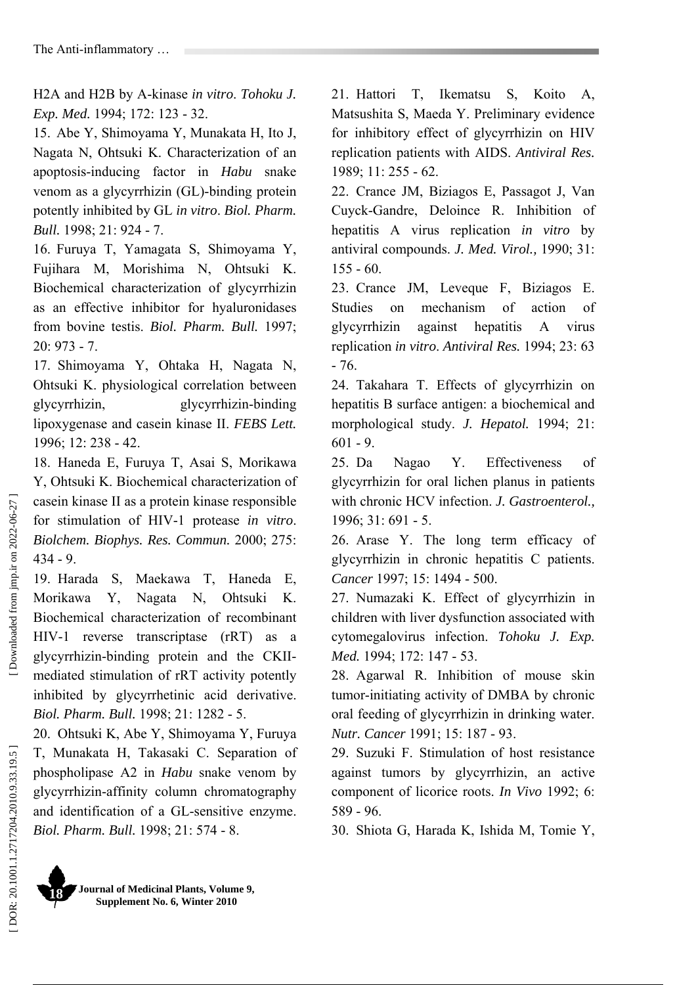H2A and H2B by A-kinase *in vitro*. *Tohoku J. Exp. Med.* 1994; 172: 123 - 32.

15. Abe Y, Shimoyama Y, Munakata H, Ito J, Nagata N, Ohtsuki K. Characterization of an apoptosis-inducing factor in *Habu* snake venom as a glycyrrhizin (GL)-binding protein potently inhibited by GL *in vitro*. *Biol. Pharm. Bull.* 1998; 21: 924 - 7.

16. Furuya T, Yamagata S, Shimoyama Y, Fujihara M, Morishima N, Ohtsuki K. Biochemical characterization of glycyrrhizin as an effective inhibitor for hyaluronidases from bovine testis. *Biol. Pharm. Bull.* 1997; 20: 973 - 7.

17. Shimoyama Y, Ohtaka H, Nagata N, Ohtsuki K. physiological correlation between glycyrrhizin, glycyrrhizin-binding lipoxygenase and casein kinase II. *FEBS Lett.* 1996; 12: 238 - 42.

18. Haneda E, Furuya T, Asai S, Morikawa Y, Ohtsuki K. Biochemical characterization of casein kinase II as a protein kinase responsible for stimulation of HIV-1 protease *in vitro*. *Biolchem. Biophys. Res. Commun.* 2000; 275: 434 - 9.

19. Harada S, Maekawa T, Haneda E, Morikawa Y, Nagata N, Ohtsuki K. Biochemical characterization of recombinant HIV-1 reverse transcriptase (rRT) as a glycyrrhizin-binding protein and the CKIImediated stimulation of rRT activity potently inhibited by glycyrrhetinic acid derivative. *Biol. Pharm. Bull.* 1998; 21: 1282 - 5.

20. Ohtsuki K, Abe Y, Shimoyama Y, Furuya T, Munakata H, Takasaki C. Separation of phospholipase A2 in *Habu* snake venom by glycyrrhizin-affinity column chromatography and identification of a GL-sensitive enzyme. *Biol. Pharm. Bull.* 1998; 21: 574 - 8.

21. Hattori T, Ikematsu S, Koito A, Matsushita S, Maeda Y. Preliminary evidence for inhibitory effect of glycyrrhizin on HIV replication patients with AIDS. *Antiviral Res.* 1989; 11: 255 - 62.

22. Crance JM, Biziagos E, Passagot J, Van Cuyck-Gandre, Deloince R. Inhibition of hepatitis A virus replication *in vitro* by antiviral compounds. *J. Med. Virol.,* 1990; 31: 155 - 60.

23. Crance JM, Leveque F, Biziagos E. Studies on mechanism of action of glycyrrhizin against hepatitis A virus replication *in vitro*. *Antiviral Res.* 1994; 23: 63 - 76.

24. Takahara T. Effects of glycyrrhizin on hepatitis B surface antigen: a biochemical and morphological study. *J. Hepatol.* 1994; 21: 601 - 9.

25. Da Nagao Y. Effectiveness of glycyrrhizin for oral lichen planus in patients with chronic HCV infection. *J. Gastroenterol.,*  1996; 31: 691 - 5.

26. Arase Y. The long term efficacy of glycyrrhizin in chronic hepatitis C patients. *Cancer* 1997; 15: 1494 - 500.

27. Numazaki K. Effect of glycyrrhizin in children with liver dysfunction associated with cytomegalovirus infection. *Tohoku J. Exp. Med.* 1994; 172: 147 - 53.

28. Agarwal R. Inhibition of mouse skin tumor-initiating activity of DMBA by chronic oral feeding of glycyrrhizin in drinking water. *Nutr. Cancer* 1991; 15: 187 - 93.

29. Suzuki F. Stimulation of host resistance against tumors by glycyrrhizin, an active component of licorice roots. *In Vivo* 1992; 6: 589 - 96.

30. Shiota G, Harada K, Ishida M, Tomie Y,

Downloaded from jmp.ir on 2022-06-27

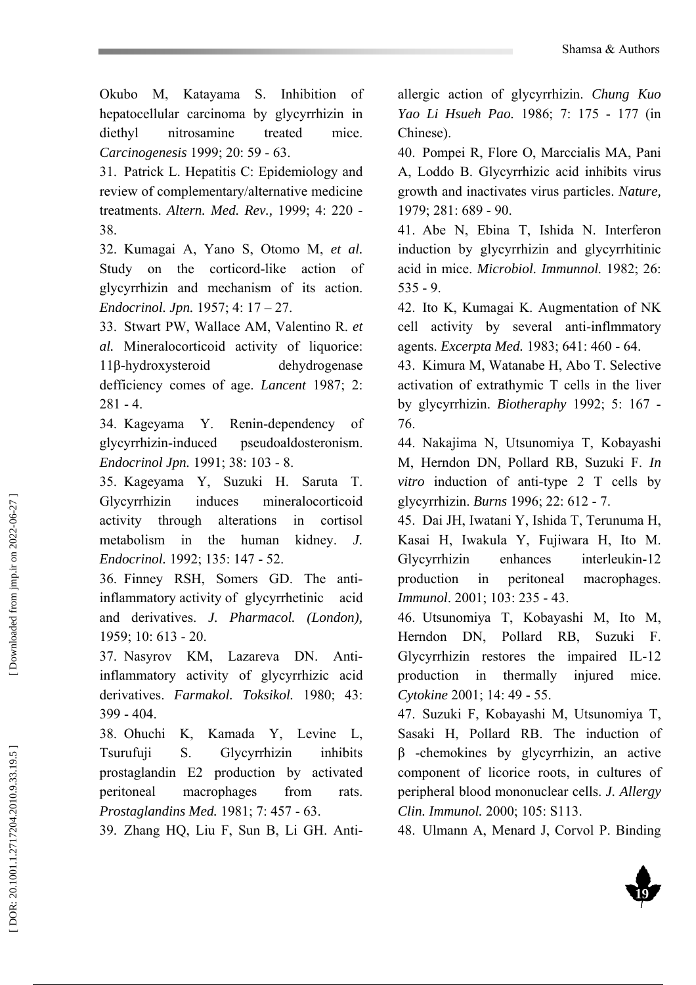Okubo M, Katayama S. Inhibition of hepatocellular carcinoma by glycyrrhizin in diethyl nitrosamine treated mice. *Carcinogenesis* 1999; 20: 59 - 63.

31. Patrick L. Hepatitis C: Epidemiology and review of complementary/alternative medicine treatments. *Altern. Med. Rev.,* 1999; 4: 220 - 38.

32. Kumagai A, Yano S, Otomo M, *et al.* Study on the corticord-like action of glycyrrhizin and mechanism of its action. *Endocrinol. Jpn.* 1957; 4: 17 – 27.

33. Stwart PW, Wallace AM, Valentino R. *et al.* Mineralocorticoid activity of liquorice: 11 β-hydroxysteroid dehydrogenase defficiency comes of age. *Lancent* 1987; 2:  $281 - 4$ 

34. Kageyama Y. Renin-dependency of glycyrrhizin-induced pseudoaldosteronism. *Endocrinol Jpn.* 1991; 38: 103 - 8.

35. Kageyama Y, Suzuki H. Saruta T. Glycyrrhizin induces mineralocorticoid activity through alterations in cortisol metabolism in the human kidney. *J. Endocrinol.* 1992; 135: 147 - 52.

36. Finney RSH, Somers GD. The antiinflammatory activity of glycyrrhetinic acid and derivatives. *J. Pharmacol. (London),* 1959; 10: 613 - 20.

37. Nasyrov KM, Lazareva DN. Antiinflammatory activity of glycyrrhizic acid derivatives. *Farmakol. Toksikol.* 1980; 43: 399 - 404.

38. Ohuchi K, Kamada Y, Levine L, Tsurufuji S. Glycyrrhizin inhibits prostaglandin E2 production by activated peritoneal macrophages from rats. *Prostaglandins Med.* 1981; 7: 457 - 63.

39. Zhang HQ, Liu F, Sun B, Li GH. Anti-

allergic action of glycyrrhizin. *Chung Kuo Yao Li Hsueh Pao.* 1986; 7: 175 - 177 (in Chinese).

40. Pompei R, Flore O, Marccialis MA, Pani A, Loddo B. Glycyrrhizic acid inhibits virus growth and inactivates virus particles. *Nature,* 1979; 281: 689 - 90.

41. Abe N, Ebina T, Ishida N. Interferon induction by glycyrrhizin and glycyrrhitinic acid in mice. *Microbiol. Immunnol.* 1982; 26: 535 - 9.

42. Ito K, Kumagai K. Augmentation of NK cell activity by several anti-inflmmatory agents. *Excerpta Med.* 1983; 641: 460 - 64.

43. Kimura M, Watanabe H, Abo T. Selective activation of extrathymic T cells in the liver by glycyrrhizin. *Biotheraphy* 1992; 5: 167 - 76.

44. Nakajima N, Utsunomiya T, Kobayashi M, Herndon DN, Pollard RB, Suzuki F. *In vitro* induction of anti-type 2 T cells by glycyrrhizin. *Burns* 1996; 22: 612 - 7.

45. Dai JH, Iwatani Y, Ishida T, Terunuma H, Kasai H, Iwakula Y, Fujiwara H, Ito M. Glycyrrhizin enhances interleukin-12 production in peritoneal macrophages. *Immunol*. 2001; 103: 235 - 43.

46. Utsunomiya T, Kobayashi M, Ito M, Herndon DN, Pollard RB, Suzuki F. Glycyrrhizin restores the impaired IL-12 production in thermally injured mice. *Cytokine* 2001; 14: 49 - 55.

47. Suzuki F, Kobayashi M, Utsunomiya T, Sasaki H, Pollard RB. The induction of β -chemokines by glycyrrhizin, an active component of licorice roots, in cultures of peripheral blood mononuclear cells. *J. Allergy Clin. Immunol.* 2000; 105: S113.

48. Ulmann A, Menard J, Corvol P. Binding

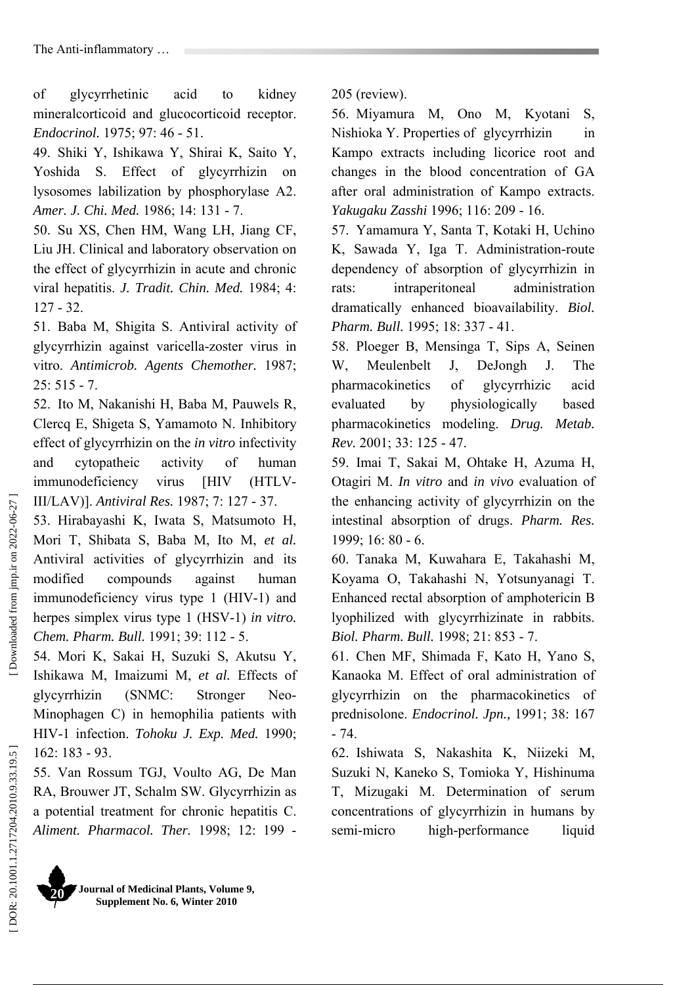of glycyrrhetinic acid to kidney mineralcorticoid and glucocorticoid receptor. *Endocrinol.* 1975; 97: 46 - 51.

49. Shiki Y, Ishikawa Y, Shirai K, Saito Y, Yoshida S. Effect of glycyrrhizin on lysosomes labilization by phosphorylase A2. *Amer. J. Chi. Med.* 1986; 14: 131 - 7.

50. Su XS, Chen HM, Wang LH, Jiang CF, Liu JH. Clinical and laboratory observation on the effect of glycyrrhizin in acute and chronic viral hepatitis. *J. Tradit. Chin. Med.* 1984; 4: 127 - 32.

51. Baba M, Shigita S. Antiviral activity of glycyrrhizin against varicella-zoster virus in vitro. *Antimicrob. Agents Chemother.* 1987;  $25: 515 - 7.$ 

52. Ito M, Nakanishi H, Baba M, Pauwels R, Clercq E, Shigeta S, Yamamoto N. Inhibitory effect of glycyrrhizin on the *in vitro* infectivity and cytopatheic activity of human immunodeficiency virus [HIV (HTLV-III/LAV)]. *Antiviral Res.* 1987; 7: 127 - 37.

53. Hirabayashi K, Iwata S, Matsumoto H, Mori T, Shibata S, Baba M, Ito M, *et al.* Antiviral activities of glycyrrhizin and its modified compounds against human immunodeficiency virus type 1 (HIV-1) and herpes simplex virus type 1 (HSV-1) *in vitro. Chem. Pharm. Bull.* 1991; 39: 112 - 5.

54. Mori K, Sakai H, Suzuki S, Akutsu Y, Ishikawa M, Imaizumi M, *et al.* Effects of glycyrrhizin (SNMC: Stronger Neo-Minophagen C) in hemophilia patients with HIV-1 infection. *Tohoku J. Exp. Med.* 1990; 162: 183 - 93.

55. Van Rossum TGJ, Voulto AG, De Man RA, Brouwer JT, Schalm SW. Glycyrrhizin as a potential treatment for chronic hepatitis C. *Aliment. Pharmacol. Ther.* 1998; 12: 199 -



205 (review).

56. Miyamura M, Ono M, Kyotani S, Nishioka Y. Properties of glycyrrhizin in Kampo extracts including licorice root and changes in the blood concentration of GA after oral administration of Kampo extracts. *Yakugaku Zasshi* 1996; 116: 209 - 16.

57. Yamamura Y, Santa T, Kotaki H, Uchino K, Sawada Y, Iga T. Administration-route dependency of absorption of glycyrrhizin in rats: intraperitoneal administration dramatically enhanced bioavailability. *Biol. Pharm. Bull.* 1995; 18: 337 - 41.

58. Ploeger B, Mensinga T, Sips A, Seinen W, Meulenbelt J, DeJongh J. The pharmacokinetics of glycyrrhizic acid evaluated by physiologically based pharmacokinetics modeling. *Drug. Metab. Rev.* 2001; 33: 125 - 47.

59. Imai T, Sakai M, Ohtake H, Azuma H, Otagiri M. *In vitro* and *in vivo* evaluation of the enhancing activity of glycyrrhizin on the intestinal absorption of drugs. *Pharm. Res.* 1999; 16: 80 - 6.

60. Tanaka M, Kuwahara E, Takahashi M, Koyama O, Takahashi N, Yotsunyanagi T. Enhanced rectal absorption of amphotericin B lyophilized with glycyrrhizinate in rabbits. *Biol. Pharm. Bull.* 1998; 21: 853 - 7.

61. Chen MF, Shimada F, Kato H, Yano S, Kanaoka M. Effect of oral administration of glycyrrhizin on the pharmacokinetics of prednisolone. *Endocrinol. Jpn.,* 1991; 38: 167 - 74.

62. Ishiwata S, Nakashita K, Niizeki M, Suzuki N, Kaneko S, Tomioka Y, Hishinuma T, Mizugaki M. Determination of serum concentrations of glycyrrhizin in humans by semi-micro high-performance liquid

DOR: 20.1001.1.2717204.2010.9.33.19.5]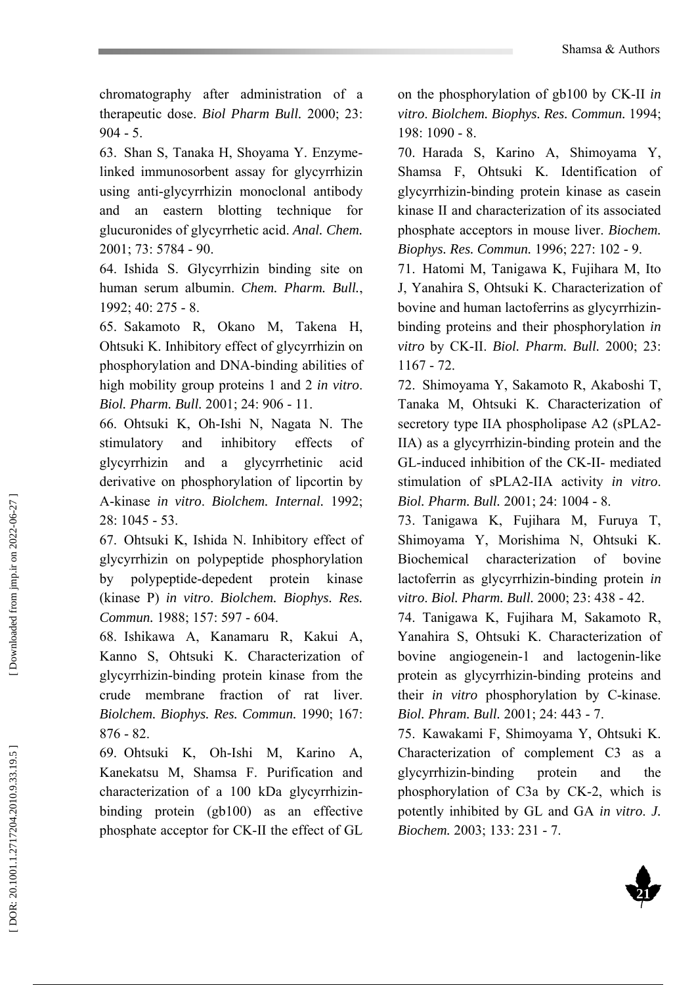chromatography after administration of a therapeutic dose. *Biol Pharm Bull.* 2000; 23: 904 - 5.

63. Shan S, Tanaka H, Shoyama Y. Enzymelinked immunosorbent assay for glycyrrhizin using anti-glycyrrhizin monoclonal antibody and an eastern blotting technique for glucuronides of glycyrrhetic acid. *Anal. Chem.* 2001; 73: 5784 - 90.

64. Ishida S. Glycyrrhizin binding site on human serum albumin. *Chem. Pharm. Bull.*, 1992; 40: 275 - 8.

65. Sakamoto R, Okano M, Takena H, Ohtsuki K. Inhibitory effect of glycyrrhizin on phosphorylation and DNA-binding abilities of high mobility group proteins 1 and 2 *in vitro*. *Biol. Pharm. Bull.* 2001; 24: 906 - 11.

66. Ohtsuki K, Oh-Ishi N, Nagata N. The stimulatory and inhibitory effects of glycyrrhizin and a glycyrrhetinic acid derivative on phosphorylation of lipcortin by A-kinase *in vitro*. *Biolchem. Internal.* 1992; 28: 1045 - 53.

67. Ohtsuki K, Ishida N. Inhibitory effect of glycyrrhizin on polypeptide phosphorylation by polypeptide-depedent protein kinase (kinase P) *in vitro*. *Biolchem. Biophys. Res. Commun.* 1988; 157: 597 - 604.

68. Ishikawa A, Kanamaru R, Kakui A, Kanno S, Ohtsuki K. Characterization of glycyrrhizin-binding protein kinase from the crude membrane fraction of rat liver. *Biolchem. Biophys. Res. Commun.* 1990; 167: 876 - 82.

69. Ohtsuki K, Oh-Ishi M, Karino A, Kanekatsu M, Shamsa F. Purification and characterization of a 100 kDa glycyrrhizinbinding protein (gb100) as an effective phosphate acceptor for CK-II the effect of GL on the phosphorylation of gb100 by CK-II *in vitro*. *Biolchem. Biophys. Res. Commun.* 1994; 198: 1090 - 8.

70. Harada S, Karino A, Shimoyama Y, Shamsa F, Ohtsuki K. Identification of glycyrrhizin-binding protein kinase as casein kinase II and characterization of its associated phosphate acceptors in mouse liver. *Biochem. Biophys. Res. Commun.* 1996; 227: 102 - 9.

71. Hatomi M, Tanigawa K, Fujihara M, Ito J, Yanahira S, Ohtsuki K. Characterization of bovine and human lactoferrins as glycyrrhizinbinding proteins and their phosphorylation *in vitro* by CK-II. *Biol. Pharm. Bull.* 2000; 23: 1167 - 72.

72. Shimoyama Y, Sakamoto R, Akaboshi T, Tanaka M, Ohtsuki K. Characterization of secretory type IIA phospholipase A2 (sPLA2- IIA) as a glycyrrhizin-binding protein and the GL-induced inhibition of the CK-II- mediated stimulation of sPLA2-IIA activity *in vitro*. *Biol. Pharm. Bull.* 2001; 24: 1004 - 8.

73. Tanigawa K, Fujihara M, Furuya T, Shimoyama Y, Morishima N, Ohtsuki K. Biochemical characterization of bovine lactoferrin as glycyrrhizin-binding protein *in vitro*. *Biol. Pharm. Bull.* 2000; 23: 438 - 42.

74. Tanigawa K, Fujihara M, Sakamoto R, Yanahira S, Ohtsuki K. Characterization of bovine angiogenein-1 and lactogenin-like protein as glycyrrhizin-binding proteins and their *in vitro* phosphorylation by C-kinase. *Biol. Phram. Bull.* 2001; 24: 443 - 7.

75. Kawakami F, Shimoyama Y, Ohtsuki K. Characterization of complement C3 as a glycyrrhizin-binding protein and the phosphorylation of C3a by CK-2, which is potently inhibited by GL and GA *in vitro*. *J. Biochem.* 2003; 133: 231 - 7.

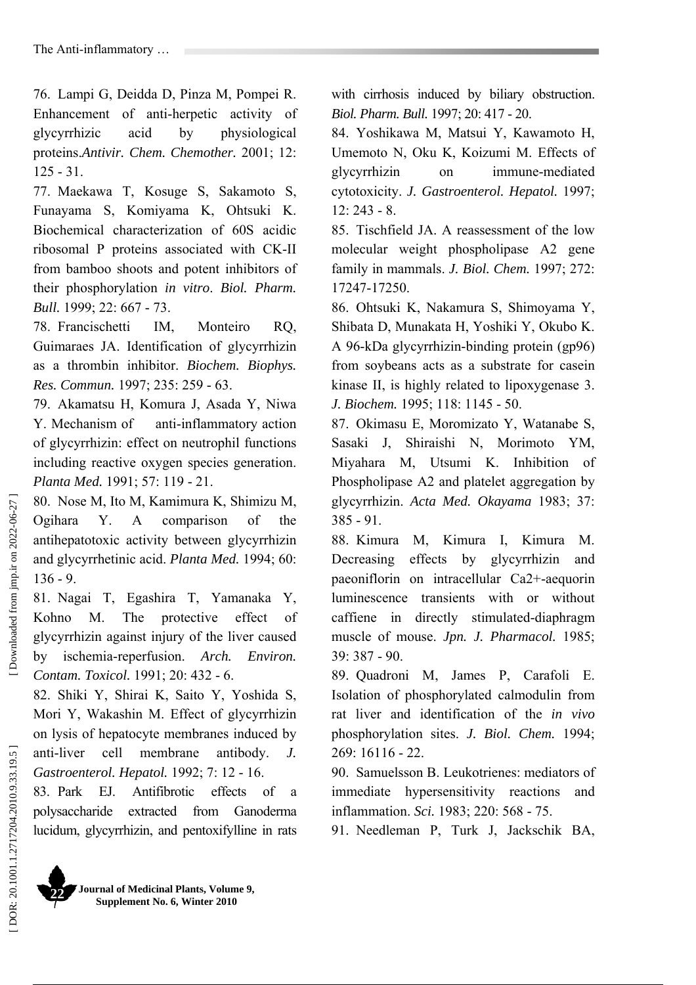76. Lampi G, Deidda D, Pinza M, Pompei R. Enhancement of anti-herpetic activity of glycyrrhizic acid by physiological proteins.*Antivir. Chem. Chemother.* 2001; 12: 125 - 31.

77. Maekawa T, Kosuge S, Sakamoto S, Funayama S, Komiyama K, Ohtsuki K. Biochemical characterization of 60S acidic ribosomal P proteins associated with CK-II from bamboo shoots and potent inhibitors of their phosphorylation *in vitro*. *Biol. Pharm. Bull.* 1999; 22: 667 - 73.

78. Francischetti IM, Monteiro RQ, Guimaraes JA. Identification of glycyrrhizin as a thrombin inhibitor. *Biochem. Biophys. Res. Commun.* 1997; 235: 259 - 63.

79. Akamatsu H, Komura J, Asada Y, Niwa Y. Mechanism of anti-inflammatory action of glycyrrhizin: effect on neutrophil functions including reactive oxygen species generation. *Planta Med.* 1991; 57: 119 - 21.

80. Nose M, Ito M, Kamimura K, Shimizu M, Ogihara Y. A comparison of the antihepatotoxic activity between glycyrrhizin and glycyrrhetinic acid. *Planta Med.* 1994; 60: 136 - 9.

81. Nagai T, Egashira T, Yamanaka Y, Kohno M. The protective effect of glycyrrhizin against injury of the liver caused by ischemia-reperfusion. *Arch. Environ. Contam. Toxicol.* 1991; 20: 432 - 6.

82. Shiki Y, Shirai K, Saito Y, Yoshida S, Mori Y, Wakashin M. Effect of glycyrrhizin on lysis of hepatocyte membranes induced by anti-liver cell membrane antibody. *J. Gastroenterol. Hepatol.* 1992; 7: 12 - 16.

83. Park EJ. Antifibrotic effects of a polysaccharide extracted from Ganoderma lucidum, glycyrrhizin, and pentoxifylline in rats with cirrhosis induced by biliary obstruction. *Biol. Pharm. Bull.* 1997; 20: 417 - 20.

84. Yoshikawa M, Matsui Y, Kawamoto H, Umemoto N, Oku K, Koizumi M. Effects of glycyrrhizin on immune-mediated cytotoxicity. *J. Gastroenterol. Hepatol.* 1997; 12: 243 - 8.

85. Tischfield JA. A reassessment of the low molecular weight phospholipase A2 gene family in mammals. *J. Biol. Chem.* 1997; 272: 17247-17250.

86. Ohtsuki K, Nakamura S, Shimoyama Y, Shibata D, Munakata H, Yoshiki Y, Okubo K. A 96-kDa glycyrrhizin-binding protein (gp96) from soybeans acts as a substrate for casein kinase II, is highly related to lipoxygenase 3. *J. Biochem.* 1995; 118: 1145 - 50.

87. Okimasu E, Moromizato Y, Watanabe S, Sasaki J, Shiraishi N, Morimoto YM, Miyahara M, Utsumi K. Inhibition of Phospholipase A2 and platelet aggregation by glycyrrhizin. *Acta Med. Okayama* 1983; 37: 385 - 91.

88. Kimura M, Kimura I, Kimura M. Decreasing effects by glycyrrhizin and paeoniflorin on intracellular Ca2+-aequorin luminescence transients with or without caffiene in directly stimulated-diaphragm muscle of mouse. *Jpn. J. Pharmacol.* 1985; 39: 387 - 90.

89. Quadroni M, James P, Carafoli E. Isolation of phosphorylated calmodulin from rat liver and identification of the *in vivo*  phosphorylation sites. *J. Biol. Chem.* 1994;  $269 \cdot 16116 - 22$ 

90. Samuelsson B. Leukotrienes: mediators of immediate hypersensitivity reactions and inflammation. *Sci.* 1983; 220: 568 - 75.

91. Needleman P, Turk J, Jackschik BA,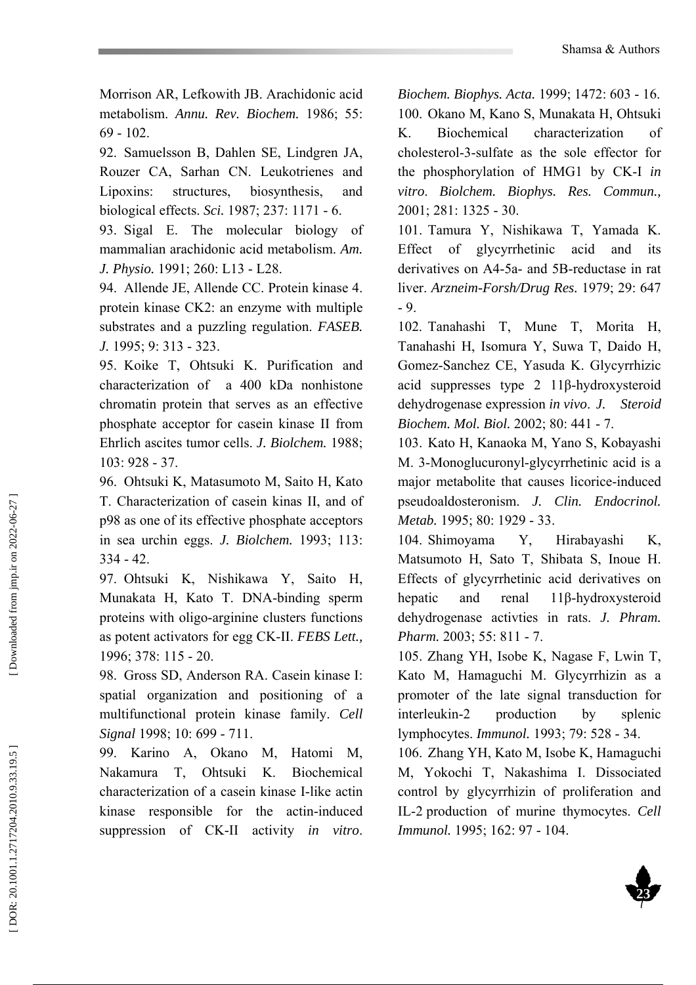Morrison AR, Lefkowith JB. Arachidonic acid metabolism. *Annu. Rev. Biochem.* 1986; 55: 69 - 102.

92. Samuelsson B, Dahlen SE, Lindgren JA, Rouzer CA, Sarhan CN. Leukotrienes and Lipoxins: structures, biosynthesis, and biological effects. *Sci.* 1987; 237: 1171 - 6.

93. Sigal E. The molecular biology of mammalian arachidonic acid metabolism. *Am. J. Physio.* 1991; 260: L13 - L28.

94. Allende JE, Allende CC. Protein kinase 4. protein kinase CK2: an enzyme with multiple substrates and a puzzling regulation. *FASEB. J.* 1995; 9: 313 - 323.

95. Koike T, Ohtsuki K. Purification and characterization of a 400 kDa nonhistone chromatin protein that serves as an effective phosphate acceptor for casein kinase II from Ehrlich ascites tumor cells. *J. Biolchem.* 1988; 103: 928 - 37.

96. Ohtsuki K, Matasumoto M, Saito H, Kato T. Characterization of casein kinas II, and of p98 as one of its effective phosphate acceptors in sea urchin eggs. *J. Biolchem.* 1993; 113: 334 - 42.

97. Ohtsuki K, Nishikawa Y, Saito H, Munakata H, Kato T. DNA-binding sperm proteins with oligo-arginine clusters functions as potent activators for egg CK-II. *FEBS Lett.,* 1996; 378: 115 - 20.

98. Gross SD, Anderson RA. Casein kinase I: spatial organization and positioning of a multifunctional protein kinase family. *Cell Signal* 1998; 10: 699 - 711.

99. Karino A, Okano M, Hatomi M, Nakamura T, Ohtsuki K. Biochemical characterization of a casein kinase I-like actin kinase responsible for the actin-induced suppression of CK-II activity *in vitro*.

*Biochem. Biophys. Acta.* 1999; 1472: 603 - 16. 100. Okano M, Kano S, Munakata H, Ohtsuki K. Biochemical characterization of cholesterol-3-sulfate as the sole effector for the phosphorylation of HMG1 by CK-I *in vitro*. *Biolchem. Biophys. Res. Commun.,* 2001; 281: 1325 - 30.

101. Tamura Y, Nishikawa T, Yamada K. Effect of glycyrrhetinic acid and its derivatives on A4-5a- and 5B-reductase in rat liver. *Arzneim-Forsh/Drug Res.* 1979; 29: 647 - 9.

102. Tanahashi T, Mune T, Morita H, Tanahashi H, Isomura Y, Suwa T, Daido H, Gomez-Sanchez CE, Yasuda K. Glycyrrhizic acid suppresses type 2 11 β-hydroxysteroid dehydrogenase expression *in vivo*. *J. Steroid Biochem. Mol. Biol.* 2002; 80: 441 - 7.

103. Kato H, Kanaoka M, Yano S, Kobayashi M. 3-Monoglucuronyl-glycyrrhetinic acid is a major metabolite that causes licorice-induced pseudoaldosteronism. *J. Clin. Endocrinol. Metab.* 1995; 80: 1929 - 33.

104. Shimoyama Y, Hirabayashi K, Matsumoto H, Sato T, Shibata S, Inoue H. Effects of glycyrrhetinic acid derivatives on hepatic and renal β-hydroxysteroid dehydrogenase activties in rats. *J. Phram. Pharm.* 2003; 55: 811 - 7.

105. Zhang YH, Isobe K, Nagase F, Lwin T, Kato M, Hamaguchi M. Glycyrrhizin as a promoter of the late signal transduction for interleukin-2 production by splenic lymphocytes. *Immunol.* 1993; 79: 528 - 34.

106. Zhang YH, Kato M, Isobe K, Hamaguchi M, Yokochi T, Nakashima I. Dissociated control by glycyrrhizin of proliferation and IL-2 production of murine thymocytes. *Cell Immunol.* 1995; 162: 97 - 104.

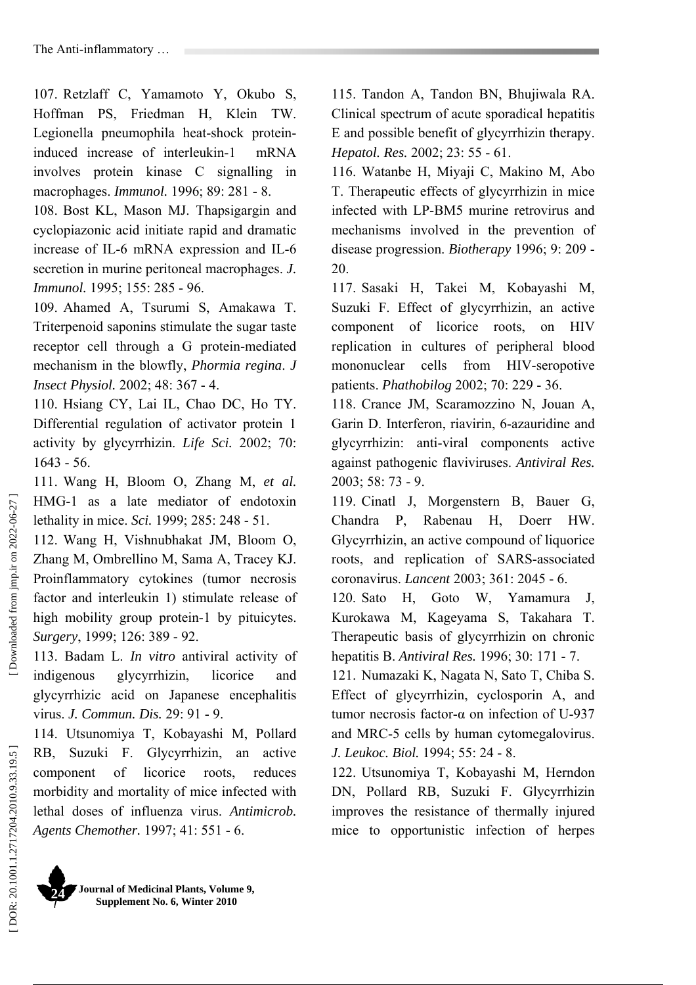107. Retzlaff C, Yamamoto Y, Okubo S, Hoffman PS, Friedman H, Klein TW. Legionella pneumophila heat-shock proteininduced increase of interleukin-1 mRNA involves protein kinase C signalling in macrophages. *Immunol.* 1996; 89: 281 - 8.

108. Bost KL, Mason MJ. Thapsigargin and cyclopiazonic acid initiate rapid and dramatic increase of IL-6 mRNA expression and IL-6 secretion in murine peritoneal macrophages. *J. Immunol.* 1995; 155: 285 - 96.

109. Ahamed A, Tsurumi S, Amakawa T. Triterpenoid saponins stimulate the sugar taste receptor cell through a G protein-mediated mechanism in the blowfly, *Phormia regina*. *J Insect Physiol.* 2002; 48: 367 - 4.

110. Hsiang CY, Lai IL, Chao DC, Ho TY. Differential regulation of activator protein 1 activity by glycyrrhizin. *Life Sci.* 2002; 70: 1643 - 56.

111. Wang H, Bloom O, Zhang M, *et al.*  HMG-1 as a late mediator of endotoxin lethality in mice. *Sci.* 1999; 285: 248 - 51.

112. Wang H, Vishnubhakat JM, Bloom O, Zhang M, Ombrellino M, Sama A, Tracey KJ. Proinflammatory cytokines (tumor necrosis factor and interleukin 1) stimulate release of high mobility group protein-1 by pituicytes. *Surgery*, 1999; 126: 389 - 92.

113. Badam L. *In vitro* antiviral activity of indigenous glycyrrhizin, licorice and glycyrrhizic acid on Japanese encephalitis virus. *J. Commun. Dis.* 29: 91 - 9.

114. Utsunomiya T, Kobayashi M, Pollard RB, Suzuki F. Glycyrrhizin, an active component of licorice roots, reduces morbidity and mortality of mice infected with lethal doses of influenza virus. *Antimicrob. Agents Chemother.* 1997; 41: 551 - 6.

115. Tandon A, Tandon BN, Bhujiwala RA. Clinical spectrum of acute sporadical hepatitis E and possible benefit of glycyrrhizin therapy. *Hepatol. Res.* 2002; 23: 55 - 61.

116. Watanbe H, Miyaji C, Makino M, Abo T. Therapeutic effects of glycyrrhizin in mice infected with LP-BM5 murine retrovirus and mechanisms involved in the prevention of disease progression. *Biotherapy* 1996; 9: 209 - 20.

117. Sasaki H, Takei M, Kobayashi M, Suzuki F. Effect of glycyrrhizin, an active component of licorice roots, on HIV replication in cultures of peripheral blood mononuclear cells from HIV-seropotive patients. *Phathobilog* 2002; 70: 229 - 36.

118. Crance JM, Scaramozzino N, Jouan A, Garin D. Interferon, riavirin, 6-azauridine and glycyrrhizin: anti-viral components active against pathogenic flaviviruses. *Antiviral Res.* 2003; 58: 73 - 9.

119. Cinatl J, Morgenstern B, Bauer G, Chandra P, Rabenau H, Doerr HW. Glycyrrhizin, an active compound of liquorice roots, and replication of SARS-associated coronavirus. *Lancent* 2003; 361: 2045 - 6.

120. Sato H, Goto W, Yamamura J, Kurokawa M, Kageyama S, Takahara T. Therapeutic basis of glycyrrhizin on chronic hepatitis B. *Antiviral Res.* 1996; 30: 171 - 7.

121. Numazaki K, Nagata N, Sato T, Chiba S. Effect of glycyrrhizin, cyclosporin A, and tumor necrosis factor-α on infection of U-937 and MRC-5 cells by human cytomegalovirus. *J. Leukoc. Biol.* 1994; 55: 24 - 8.

122. Utsunomiya T, Kobayashi M, Herndon DN, Pollard RB, Suzuki F. Glycyrrhizin improves the resistance of thermally injured mice to opportunistic infection of herpes

Downloaded from jmp.ir on 2022-06-27 ]

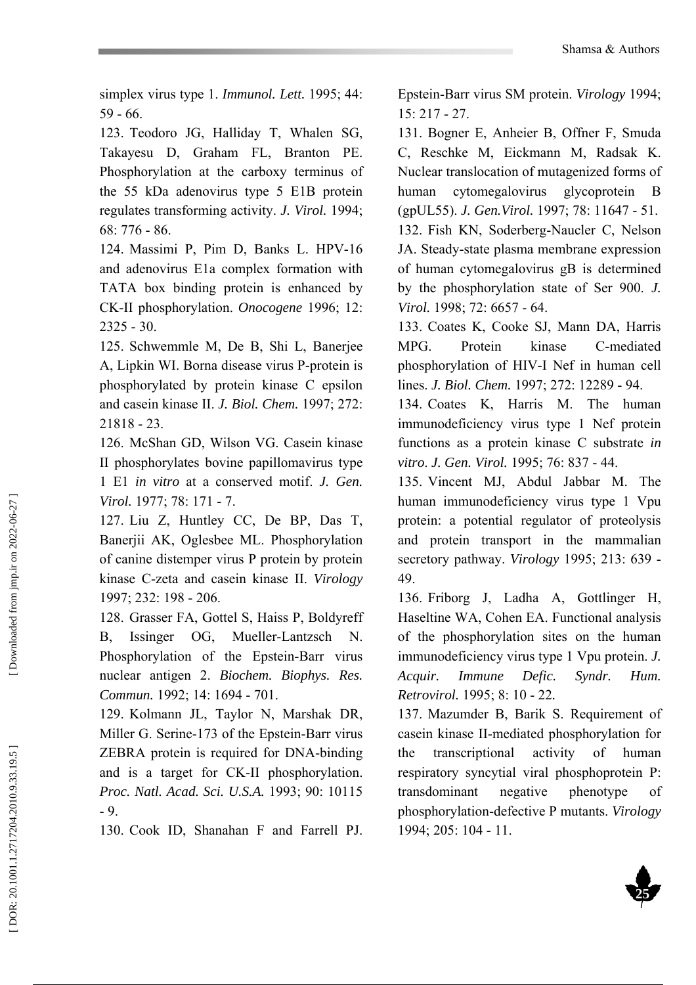simplex virus type 1. *Immunol. Lett.* 1995; 44: 59 - 66.

123. Teodoro JG, Halliday T, Whalen SG, Takayesu D, Graham FL, Branton PE. Phosphorylation at the carboxy terminus of the 55 kDa adenovirus type 5 E1B protein regulates transforming activity. *J. Virol.* 1994; 68: 776 - 86.

124. Massimi P, Pim D, Banks L. HPV-16 and adenovirus E1a complex formation with TATA box binding protein is enhanced by CK-II phosphorylation. *Onocogene* 1996; 12: 2325 - 30.

125. Schwemmle M, De B, Shi L, Banerjee A, Lipkin WI. Borna disease virus P-protein is phosphorylated by protein kinase C epsilon and casein kinase II. *J. Biol. Chem.* 1997; 272: 21818 - 23.

126. McShan GD, Wilson VG. Casein kinase II phosphorylates bovine papillomavirus type 1 E1 *in vitro* at a conserved motif. *J. Gen. Virol.* 1977; 78: 171 - 7.

127. Liu Z, Huntley CC, De BP, Das T, Banerjii AK, Oglesbee ML. Phosphorylation of canine distemper virus P protein by protein kinase C-zeta and casein kinase II. *Virology* 1997; 232: 198 - 206.

128. Grasser FA, Gottel S, Haiss P, Boldyreff B, Issinger OG, Mueller-Lantzsch N. Phosphorylation of the Epstein-Barr virus nuclear antigen 2. *Biochem. Biophys. Res. Commun.* 1992; 14: 1694 - 701.

129. Kolmann JL, Taylor N, Marshak DR, Miller G. Serine-173 of the Epstein-Barr virus ZEBRA protein is required for DNA-binding and is a target for CK-II phosphorylation. *Proc. Natl. Acad. Sci. U.S.A.* 1993; 90: 10115 - 9.

130. Cook ID, Shanahan F and Farrell PJ.

Epstein-Barr virus SM protein. *Virology* 1994; 15: 217 - 27.

131. Bogner E, Anheier B, Offner F, Smuda C, Reschke M, Eickmann M, Radsak K. Nuclear translocation of mutagenized forms of human cytomegalovirus glycoprotein B (gpUL55). *J. Gen.Virol.* 1997; 78: 11647 - 51. 132. Fish KN, Soderberg-Naucler C, Nelson JA. Steady-state plasma membrane expression of human cytomegalovirus gB is determined by the phosphorylation state of Ser 900. *J. Virol.* 1998; 72: 6657 - 64.

133. Coates K, Cooke SJ, Mann DA, Harris MPG. Protein kinase C-mediated phosphorylation of HIV-I Nef in human cell lines. *J. Biol. Chem.* 1997; 272: 12289 - 94.

134. Coates K, Harris M. The human immunodeficiency virus type 1 Nef protein functions as a protein kinase C substrate *in vitro*. *J. Gen. Virol.* 1995; 76: 837 - 44.

135. Vincent MJ, Abdul Jabbar M. The human immunodeficiency virus type 1 Vpu protein: a potential regulator of proteolysis and protein transport in the mammalian secretory pathway. *Virology* 1995; 213: 639 - 49.

136. Friborg J, Ladha A, Gottlinger H, Haseltine WA, Cohen EA. Functional analysis of the phosphorylation sites on the human immunodeficiency virus type 1 Vpu protein. *J. Acquir. Immune Defic. Syndr. Hum. Retrovirol.* 1995; 8: 10 - 22*.* 

137. Mazumder B, Barik S. Requirement of casein kinase II-mediated phosphorylation for the transcriptional activity of human respiratory syncytial viral phosphoprotein P: transdominant negative phenotype of phosphorylation-defective P mutants. *Virology* 1994; 205: 104 - 11.

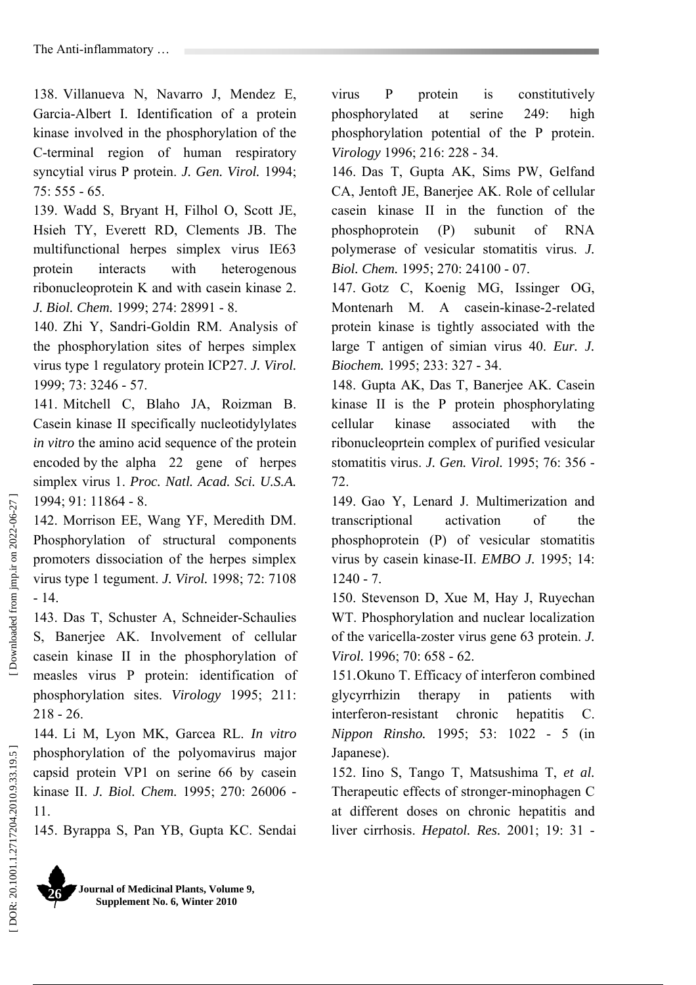138. Villanueva N, Navarro J, Mendez E, Garcia-Albert I. Identification of a protein kinase involved in the phosphorylation of the C-terminal region of human respiratory syncytial virus P protein. *J. Gen. Virol.* 1994;  $75.555 - 65$ 

139. Wadd S, Bryant H, Filhol O, Scott JE, Hsieh TY, Everett RD, Clements JB. The multifunctional herpes simplex virus IE63 protein interacts with heterogenous ribonucleoprotein K and with casein kinase 2. *J. Biol. Chem.* 1999; 274: 28991 - 8.

140. Zhi Y, Sandri-Goldin RM. Analysis of the phosphorylation sites of herpes simplex virus type 1 regulatory protein ICP27. *J. Virol.* 1999; 73: 3246 - 57.

141. Mitchell C, Blaho JA, Roizman B. Casein kinase II specifically nucleotidylylates *in vitro* the amino acid sequence of the protein encoded by the alpha 22 gene of herpes simplex virus 1. *Proc. Natl. Acad. Sci. U.S.A.* 1994; 91: 11864 - 8.

142. Morrison EE, Wang YF, Meredith DM. Phosphorylation of structural components promoters dissociation of the herpes simplex virus type 1 tegument. *J. Virol.* 1998; 72: 7108 - 14.

143. Das T, Schuster A, Schneider-Schaulies S. Baneriee AK. Involvement of cellular casein kinase II in the phosphorylation of measles virus P protein: identification of phosphorylation sites. *Virology* 1995; 211: 218 - 26.

144. Li M, Lyon MK, Garcea RL. *In vitro* phosphorylation of the polyomavirus major capsid protein VP1 on serine 66 by casein kinase II. *J. Biol. Chem.* 1995; 270: 26006 - 11.

145. Byrappa S, Pan YB, Gupta KC. Sendai

virus P protein is constitutively phosphorylated at serine 249: high phosphorylation potential of the P protein. *Virology* 1996; 216: 228 - 34.

146. Das T, Gupta AK, Sims PW, Gelfand CA, Jentoft JE, Banerjee AK. Role of cellular casein kinase II in the function of the phosphoprotein (P) subunit of RNA polymerase of vesicular stomatitis virus. *J. Biol. Chem.* 1995; 270: 24100 - 07.

147. Gotz C, Koenig MG, Issinger OG, Montenarh M. A casein-kinase-2-related protein kinase is tightly associated with the large T antigen of simian virus 40. *Eur. J. Biochem.* 1995; 233: 327 - 34.

148. Gupta AK, Das T, Banerjee AK. Casein kinase II is the P protein phosphorylating cellular kinase associated with the ribonucleoprtein complex of purified vesicular stomatitis virus. *J. Gen. Virol.* 1995; 76: 356 - 72.

149. Gao Y, Lenard J. Multimerization and transcriptional activation of the phosphoprotein (P) of vesicular stomatitis virus by casein kinase-II. *EMBO J.* 1995; 14: 1240 - 7.

150. Stevenson D, Xue M, Hay J, Ruyechan WT. Phosphorylation and nuclear localization of the varicella-zoster virus gene 63 protein. *J. Virol.* 1996; 70: 658 - 62.

151.Okuno T. Efficacy of interferon combined glycyrrhizin therapy in patients with interferon-resistant chronic hepatitis C. *Nippon Rinsho.* 1995; 53: 1022 - 5 (in Japanese).

152. Iino S, Tango T, Matsushima T, *et al.* Therapeutic effects of stronger-minophagen C at different doses on chronic hepatitis and liver cirrhosis. *Hepatol. Res.* 2001; 19: 31 -

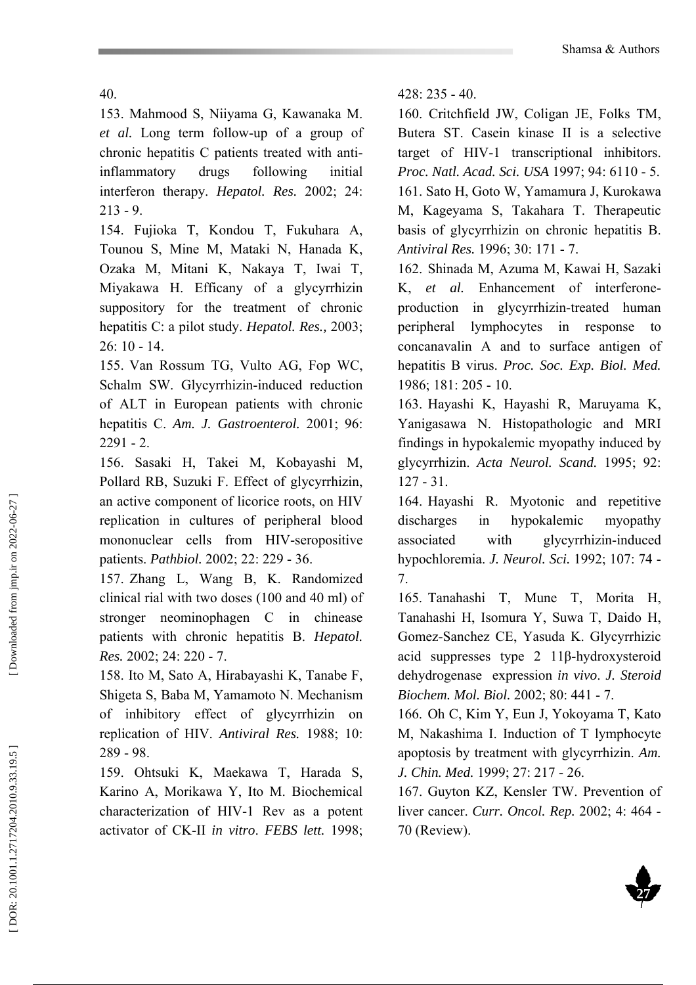40.

153. Mahmood S, Niiyama G, Kawanaka M. *et al.* Long term follow-up of a group of chronic hepatitis C patients treated with antiinflammatory drugs following initial interferon therapy. *Hepatol. Res.* 2002; 24: 213 - 9.

154. Fujioka T, Kondou T, Fukuhara A, Tounou S, Mine M, Mataki N, Hanada K, Ozaka M, Mitani K, Nakaya T, Iwai T, Miyakawa H. Efficany of a glycyrrhizin suppository for the treatment of chronic hepatitis C: a pilot study. *Hepatol. Res.,* 2003; 26: 10 - 14.

155. Van Rossum TG, Vulto AG, Fop WC, Schalm SW. Glycyrrhizin-induced reduction of ALT in European patients with chronic hepatitis C. *Am. J. Gastroenterol.* 2001; 96:  $2291 - 2$ 

156. Sasaki H, Takei M, Kobayashi M, Pollard RB, Suzuki F. Effect of glycyrrhizin, an active component of licorice roots, on HIV replication in cultures of peripheral blood mononuclear cells from HIV-seropositive patients. *Pathbiol.* 2002; 22: 229 - 36.

157. Zhang L, Wang B, K. Randomized clinical rial with two doses (100 and 40 ml) of stronger neominophagen C in chinease patients with chronic hepatitis B. *Hepatol. Res.* 2002; 24: 220 - 7.

158. Ito M, Sato A, Hirabayashi K, Tanabe F, Shigeta S, Baba M, Yamamoto N. Mechanism of inhibitory effect of glycyrrhizin on replication of HIV. *Antiviral Res.* 1988; 10: 289 - 98.

159. Ohtsuki K, Maekawa T, Harada S, Karino A, Morikawa Y, Ito M. Biochemical characterization of HIV-1 Rev as a potent activator of CK-II *in vitro*. *FEBS lett.* 1998; 428: 235 - 40.

160. Critchfield JW, Coligan JE, Folks TM, Butera ST. Casein kinase II is a selective target of HIV-1 transcriptional inhibitors. *Proc. Natl. Acad. Sci. USA* 1997; 94: 6110 - 5. 161. Sato H, Goto W, Yamamura J, Kurokawa M, Kageyama S, Takahara T. Therapeutic basis of glycyrrhizin on chronic hepatitis B. *Antiviral Res.* 1996; 30: 171 - 7.

162. Shinada M, Azuma M, Kawai H, Sazaki K, *et al.* Enhancement of interferoneproduction in glycyrrhizin-treated human peripheral lymphocytes in response to concanavalin A and to surface antigen of hepatitis B virus. *Proc. Soc. Exp. Biol. Med.*  1986; 181: 205 - 10.

163. Hayashi K, Hayashi R, Maruyama K, Yanigasawa N. Histopathologic and MRI findings in hypokalemic myopathy induced by glycyrrhizin. *Acta Neurol. Scand.* 1995; 92: 127 - 31.

164. Hayashi R. Myotonic and repetitive discharges in hypokalemic myopathy associated with glycyrrhizin-induced hypochloremia. *J. Neurol. Sci.* 1992; 107: 74 - 7.

165. Tanahashi T, Mune T, Morita H, Tanahashi H, Isomura Y, Suwa T, Daido H, Gomez-Sanchez CE, Yasuda K. Glycyrrhizic acid suppresses type 2 11 β-hydroxysteroid dehydrogenase expression *in vivo*. *J. Steroid Biochem. Mol. Biol.* 2002; 80: 441 - 7.

166. Oh C, Kim Y, Eun J, Yokoyama T, Kato M, Nakashima I. Induction of T lymphocyte apoptosis by treatment with glycyrrhizin. *Am. J. Chin. Med.* 1999; 27: 217 - 26.

167. Guyton KZ, Kensler TW. Prevention of liver cancer. *Curr. Oncol. Rep.* 2002; 4: 464 - 70 (Review).